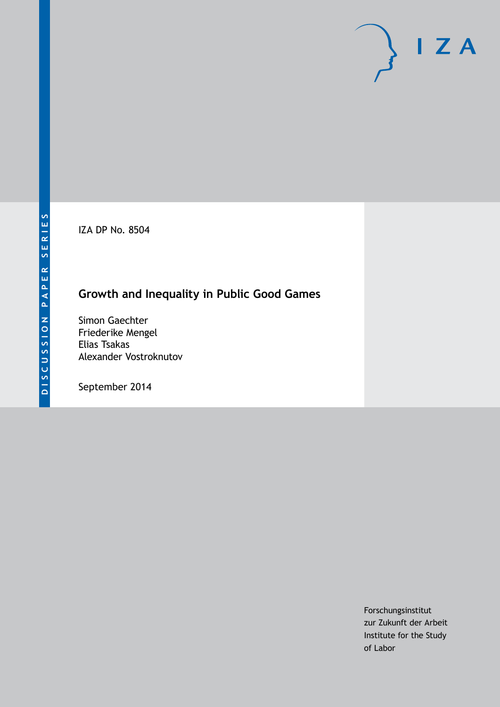IZA DP No. 8504

## **Growth and Inequality in Public Good Games**

Simon Gaechter Friederike Mengel Elias Tsakas Alexander Vostroknutov

September 2014

Forschungsinstitut zur Zukunft der Arbeit Institute for the Study of Labor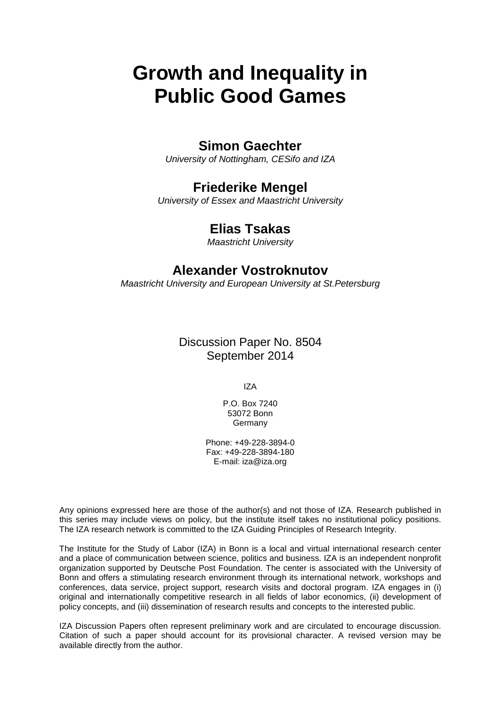# **Growth and Inequality in Public Good Games**

## **Simon Gaechter**

*University of Nottingham, CESifo and IZA*

## **Friederike Mengel**

*University of Essex and Maastricht University*

## **Elias Tsakas**

*Maastricht University*

### **Alexander Vostroknutov**

*Maastricht University and European University at St.Petersburg*

Discussion Paper No. 8504 September 2014

IZA

P.O. Box 7240 53072 Bonn **Germany** 

Phone: +49-228-3894-0 Fax: +49-228-3894-180 E-mail: [iza@iza.org](mailto:iza@iza.org)

Any opinions expressed here are those of the author(s) and not those of IZA. Research published in this series may include views on policy, but the institute itself takes no institutional policy positions. The IZA research network is committed to the IZA Guiding Principles of Research Integrity.

The Institute for the Study of Labor (IZA) in Bonn is a local and virtual international research center and a place of communication between science, politics and business. IZA is an independent nonprofit organization supported by Deutsche Post Foundation. The center is associated with the University of Bonn and offers a stimulating research environment through its international network, workshops and conferences, data service, project support, research visits and doctoral program. IZA engages in (i) original and internationally competitive research in all fields of labor economics, (ii) development of policy concepts, and (iii) dissemination of research results and concepts to the interested public.

<span id="page-1-0"></span>IZA Discussion Papers often represent preliminary work and are circulated to encourage discussion. Citation of such a paper should account for its provisional character. A revised version may be available directly from the author.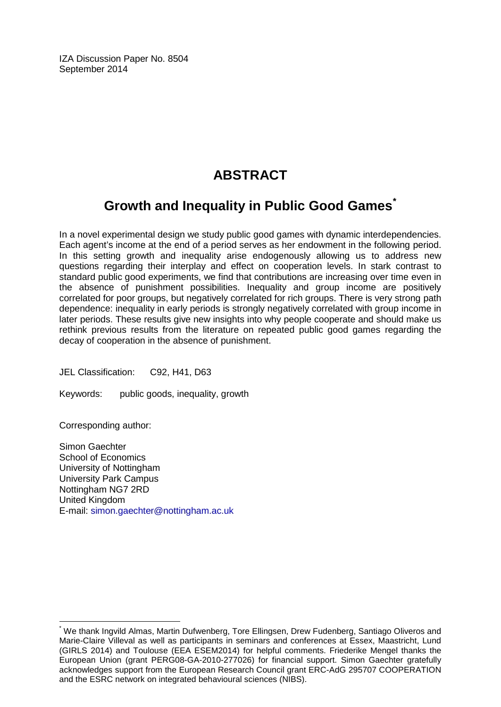IZA Discussion Paper No. 8504 September 2014

## **ABSTRACT**

## **Growth and Inequality in Public Good Games[\\*](#page-1-0)**

In a novel experimental design we study public good games with dynamic interdependencies. Each agent's income at the end of a period serves as her endowment in the following period. In this setting growth and inequality arise endogenously allowing us to address new questions regarding their interplay and effect on cooperation levels. In stark contrast to standard public good experiments, we find that contributions are increasing over time even in the absence of punishment possibilities. Inequality and group income are positively correlated for poor groups, but negatively correlated for rich groups. There is very strong path dependence: inequality in early periods is strongly negatively correlated with group income in later periods. These results give new insights into why people cooperate and should make us rethink previous results from the literature on repeated public good games regarding the decay of cooperation in the absence of punishment.

JEL Classification: C92, H41, D63

Keywords: public goods, inequality, growth

Corresponding author:

Simon Gaechter School of Economics University of Nottingham University Park Campus Nottingham NG7 2RD United Kingdom E-mail: [simon.gaechter@nottingham.ac.uk](mailto:simon.gaechter@nottingham.ac.uk)

\* We thank Ingvild Almas, Martin Dufwenberg, Tore Ellingsen, Drew Fudenberg, Santiago Oliveros and Marie-Claire Villeval as well as participants in seminars and conferences at Essex, Maastricht, Lund (GIRLS 2014) and Toulouse (EEA ESEM2014) for helpful comments. Friederike Mengel thanks the European Union (grant PERG08-GA-2010-277026) for financial support. Simon Gaechter gratefully acknowledges support from the European Research Council grant ERC-AdG 295707 COOPERATION and the ESRC network on integrated behavioural sciences (NIBS).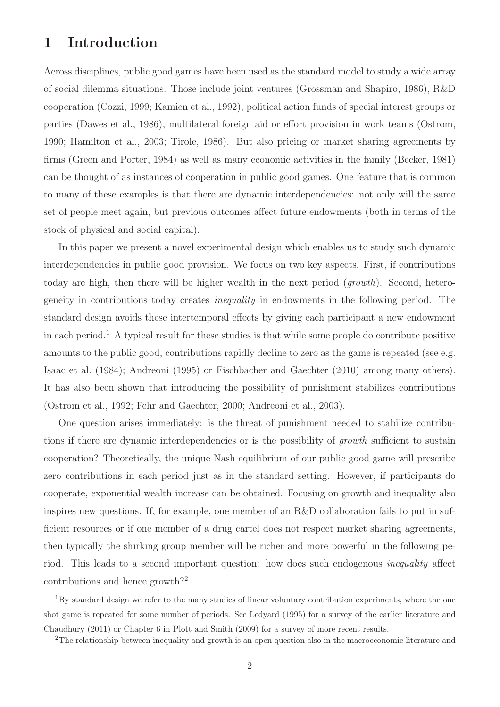## 1 Introduction

Across disciplines, public good games have been used as the standard model to study a wide array of social dilemma situations. Those include joint ventures (Grossman and Shapiro, 1986), R&D cooperation (Cozzi, 1999; Kamien et al., 1992), political action funds of special interest groups or parties (Dawes et al., 1986), multilateral foreign aid or effort provision in work teams (Ostrom, 1990; Hamilton et al., 2003; Tirole, 1986). But also pricing or market sharing agreements by firms (Green and Porter, 1984) as well as many economic activities in the family (Becker, 1981) can be thought of as instances of cooperation in public good games. One feature that is common to many of these examples is that there are dynamic interdependencies: not only will the same set of people meet again, but previous outcomes affect future endowments (both in terms of the stock of physical and social capital).

In this paper we present a novel experimental design which enables us to study such dynamic interdependencies in public good provision. We focus on two key aspects. First, if contributions today are high, then there will be higher wealth in the next period (*growth*). Second, heterogeneity in contributions today creates inequality in endowments in the following period. The standard design avoids these intertemporal effects by giving each participant a new endowment in each period.<sup>1</sup> A typical result for these studies is that while some people do contribute positive amounts to the public good, contributions rapidly decline to zero as the game is repeated (see e.g. Isaac et al. (1984); Andreoni (1995) or Fischbacher and Gaechter (2010) among many others). It has also been shown that introducing the possibility of punishment stabilizes contributions (Ostrom et al., 1992; Fehr and Gaechter, 2000; Andreoni et al., 2003).

One question arises immediately: is the threat of punishment needed to stabilize contributions if there are dynamic interdependencies or is the possibility of *growth* sufficient to sustain cooperation? Theoretically, the unique Nash equilibrium of our public good game will prescribe zero contributions in each period just as in the standard setting. However, if participants do cooperate, exponential wealth increase can be obtained. Focusing on growth and inequality also inspires new questions. If, for example, one member of an R&D collaboration fails to put in sufficient resources or if one member of a drug cartel does not respect market sharing agreements, then typically the shirking group member will be richer and more powerful in the following period. This leads to a second important question: how does such endogenous inequality affect contributions and hence growth?<sup>2</sup>

<sup>1</sup>By standard design we refer to the many studies of linear voluntary contribution experiments, where the one shot game is repeated for some number of periods. See Ledyard (1995) for a survey of the earlier literature and Chaudhury (2011) or Chapter 6 in Plott and Smith (2009) for a survey of more recent results.

<sup>&</sup>lt;sup>2</sup>The relationship between inequality and growth is an open question also in the macroeconomic literature and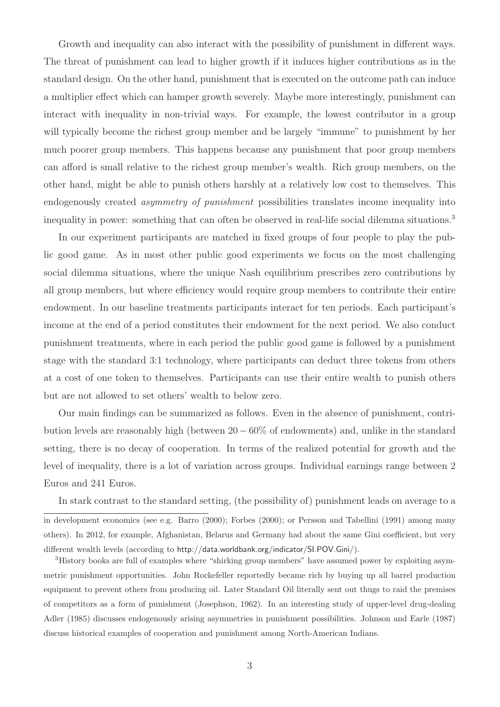Growth and inequality can also interact with the possibility of punishment in different ways. The threat of punishment can lead to higher growth if it induces higher contributions as in the standard design. On the other hand, punishment that is executed on the outcome path can induce a multiplier effect which can hamper growth severely. Maybe more interestingly, punishment can interact with inequality in non-trivial ways. For example, the lowest contributor in a group will typically become the richest group member and be largely "immune" to punishment by her much poorer group members. This happens because any punishment that poor group members can afford is small relative to the richest group member's wealth. Rich group members, on the other hand, might be able to punish others harshly at a relatively low cost to themselves. This endogenously created *asymmetry of punishment* possibilities translates income inequality into inequality in power: something that can often be observed in real-life social dilemma situations.<sup>3</sup>

In our experiment participants are matched in fixed groups of four people to play the public good game. As in most other public good experiments we focus on the most challenging social dilemma situations, where the unique Nash equilibrium prescribes zero contributions by all group members, but where efficiency would require group members to contribute their entire endowment. In our baseline treatments participants interact for ten periods. Each participant's income at the end of a period constitutes their endowment for the next period. We also conduct punishment treatments, where in each period the public good game is followed by a punishment stage with the standard 3:1 technology, where participants can deduct three tokens from others at a cost of one token to themselves. Participants can use their entire wealth to punish others but are not allowed to set others' wealth to below zero.

Our main findings can be summarized as follows. Even in the absence of punishment, contribution levels are reasonably high (between 20−60% of endowments) and, unlike in the standard setting, there is no decay of cooperation. In terms of the realized potential for growth and the level of inequality, there is a lot of variation across groups. Individual earnings range between 2 Euros and 241 Euros.

In stark contrast to the standard setting, (the possibility of) punishment leads on average to a in development economics (see e.g. Barro (2000); Forbes (2000); or Persson and Tabellini (1991) among many others). In 2012, for example, Afghanistan, Belarus and Germany had about the same Gini coefficient, but very different wealth levels (according to http://data.worldbank.org/indicator/SI.POV.Gini/).

<sup>3</sup>History books are full of examples where "shirking group members" have assumed power by exploiting asymmetric punishment opportunities. John Rockefeller reportedly became rich by buying up all barrel production equipment to prevent others from producing oil. Later Standard Oil literally sent out thugs to raid the premises of competitors as a form of punishment (Josephson, 1962). In an interesting study of upper-level drug-dealing Adler (1985) discusses endogenously arising asymmetries in punishment possibilities. Johnson and Earle (1987) discuss historical examples of cooperation and punishment among North-American Indians.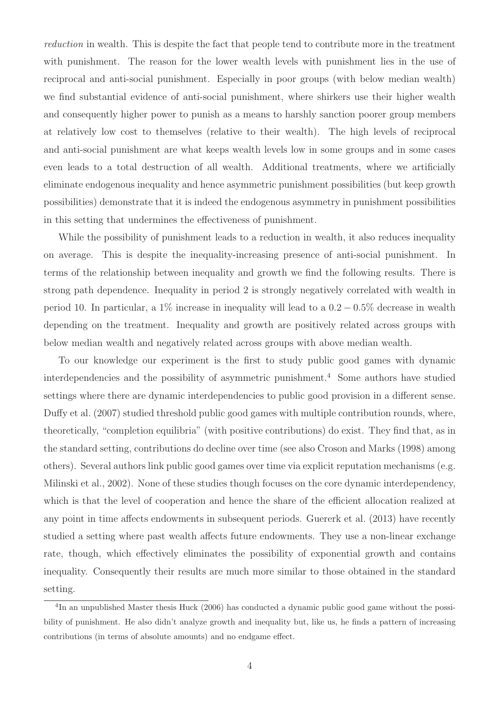reduction in wealth. This is despite the fact that people tend to contribute more in the treatment with punishment. The reason for the lower wealth levels with punishment lies in the use of reciprocal and anti-social punishment. Especially in poor groups (with below median wealth) we find substantial evidence of anti-social punishment, where shirkers use their higher wealth and consequently higher power to punish as a means to harshly sanction poorer group members at relatively low cost to themselves (relative to their wealth). The high levels of reciprocal and anti-social punishment are what keeps wealth levels low in some groups and in some cases even leads to a total destruction of all wealth. Additional treatments, where we artificially eliminate endogenous inequality and hence asymmetric punishment possibilities (but keep growth possibilities) demonstrate that it is indeed the endogenous asymmetry in punishment possibilities in this setting that undermines the effectiveness of punishment.

While the possibility of punishment leads to a reduction in wealth, it also reduces inequality on average. This is despite the inequality-increasing presence of anti-social punishment. In terms of the relationship between inequality and growth we find the following results. There is strong path dependence. Inequality in period 2 is strongly negatively correlated with wealth in period 10. In particular, a 1% increase in inequality will lead to a  $0.2 - 0.5\%$  decrease in wealth depending on the treatment. Inequality and growth are positively related across groups with below median wealth and negatively related across groups with above median wealth.

To our knowledge our experiment is the first to study public good games with dynamic interdependencies and the possibility of asymmetric punishment.<sup>4</sup> Some authors have studied settings where there are dynamic interdependencies to public good provision in a different sense. Duffy et al. (2007) studied threshold public good games with multiple contribution rounds, where, theoretically, "completion equilibria" (with positive contributions) do exist. They find that, as in the standard setting, contributions do decline over time (see also Croson and Marks (1998) among others). Several authors link public good games over time via explicit reputation mechanisms (e.g. Milinski et al., 2002). None of these studies though focuses on the core dynamic interdependency, which is that the level of cooperation and hence the share of the efficient allocation realized at any point in time affects endowments in subsequent periods. Guererk et al. (2013) have recently studied a setting where past wealth affects future endowments. They use a non-linear exchange rate, though, which effectively eliminates the possibility of exponential growth and contains inequality. Consequently their results are much more similar to those obtained in the standard setting.

<sup>&</sup>lt;sup>4</sup>In an unpublished Master thesis Huck (2006) has conducted a dynamic public good game without the possibility of punishment. He also didn't analyze growth and inequality but, like us, he finds a pattern of increasing contributions (in terms of absolute amounts) and no endgame effect.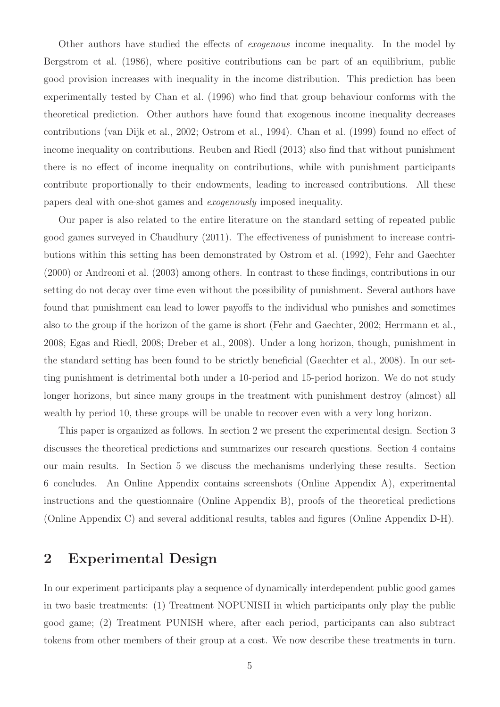Other authors have studied the effects of exogenous income inequality. In the model by Bergstrom et al. (1986), where positive contributions can be part of an equilibrium, public good provision increases with inequality in the income distribution. This prediction has been experimentally tested by Chan et al. (1996) who find that group behaviour conforms with the theoretical prediction. Other authors have found that exogenous income inequality decreases contributions (van Dijk et al., 2002; Ostrom et al., 1994). Chan et al. (1999) found no effect of income inequality on contributions. Reuben and Riedl (2013) also find that without punishment there is no effect of income inequality on contributions, while with punishment participants contribute proportionally to their endowments, leading to increased contributions. All these papers deal with one-shot games and exogenously imposed inequality.

Our paper is also related to the entire literature on the standard setting of repeated public good games surveyed in Chaudhury (2011). The effectiveness of punishment to increase contributions within this setting has been demonstrated by Ostrom et al. (1992), Fehr and Gaechter (2000) or Andreoni et al. (2003) among others. In contrast to these findings, contributions in our setting do not decay over time even without the possibility of punishment. Several authors have found that punishment can lead to lower payoffs to the individual who punishes and sometimes also to the group if the horizon of the game is short (Fehr and Gaechter, 2002; Herrmann et al., 2008; Egas and Riedl, 2008; Dreber et al., 2008). Under a long horizon, though, punishment in the standard setting has been found to be strictly beneficial (Gaechter et al., 2008). In our setting punishment is detrimental both under a 10-period and 15-period horizon. We do not study longer horizons, but since many groups in the treatment with punishment destroy (almost) all wealth by period 10, these groups will be unable to recover even with a very long horizon.

This paper is organized as follows. In section 2 we present the experimental design. Section 3 discusses the theoretical predictions and summarizes our research questions. Section 4 contains our main results. In Section 5 we discuss the mechanisms underlying these results. Section 6 concludes. An Online Appendix contains screenshots (Online Appendix A), experimental instructions and the questionnaire (Online Appendix B), proofs of the theoretical predictions (Online Appendix C) and several additional results, tables and figures (Online Appendix D-H).

## 2 Experimental Design

In our experiment participants play a sequence of dynamically interdependent public good games in two basic treatments: (1) Treatment NOPUNISH in which participants only play the public good game; (2) Treatment PUNISH where, after each period, participants can also subtract tokens from other members of their group at a cost. We now describe these treatments in turn.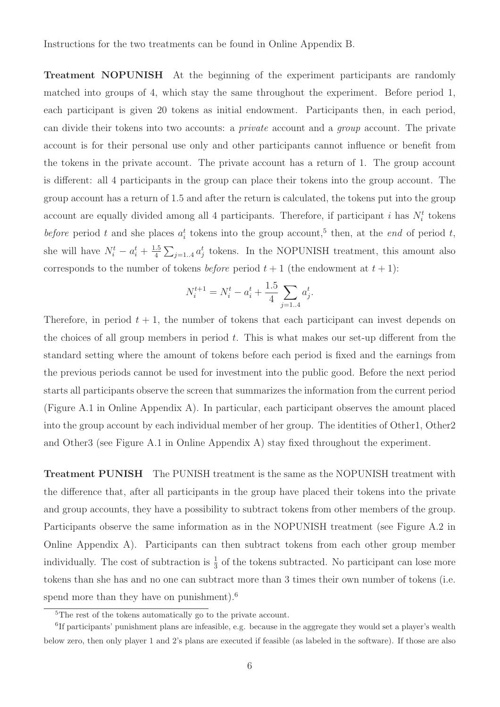Treatment NOPUNISH At the beginning of the experiment participants are randomly matched into groups of 4, which stay the same throughout the experiment. Before period 1, each participant is given 20 tokens as initial endowment. Participants then, in each period, can divide their tokens into two accounts: a private account and a group account. The private account is for their personal use only and other participants cannot influence or benefit from the tokens in the private account. The private account has a return of 1. The group account is different: all 4 participants in the group can place their tokens into the group account. The group account has a return of 1.5 and after the return is calculated, the tokens put into the group account are equally divided among all 4 participants. Therefore, if participant i has  $N_i^t$  tokens before period t and she places  $a_i^t$  tokens into the group account,<sup>5</sup> then, at the end of period t, she will have  $N_i^t - a_i^t + \frac{1.5}{4}$  $\frac{.5}{4} \sum_{j=1..4} a_j^t$  tokens. In the NOPUNISH treatment, this amount also corresponds to the number of tokens *before* period  $t + 1$  (the endowment at  $t + 1$ ):

$$
N_i^{t+1} = N_i^t - a_i^t + \frac{1.5}{4} \sum_{j=1..4} a_j^t.
$$

Therefore, in period  $t + 1$ , the number of tokens that each participant can invest depends on the choices of all group members in period  $t$ . This is what makes our set-up different from the standard setting where the amount of tokens before each period is fixed and the earnings from the previous periods cannot be used for investment into the public good. Before the next period starts all participants observe the screen that summarizes the information from the current period (Figure A.1 in Online Appendix A). In particular, each participant observes the amount placed into the group account by each individual member of her group. The identities of Other1, Other2 and Other3 (see Figure A.1 in Online Appendix A) stay fixed throughout the experiment.

Treatment PUNISH The PUNISH treatment is the same as the NOPUNISH treatment with the difference that, after all participants in the group have placed their tokens into the private and group accounts, they have a possibility to subtract tokens from other members of the group. Participants observe the same information as in the NOPUNISH treatment (see Figure A.2 in Online Appendix A). Participants can then subtract tokens from each other group member individually. The cost of subtraction is  $\frac{1}{3}$  of the tokens subtracted. No participant can lose more tokens than she has and no one can subtract more than 3 times their own number of tokens (i.e. spend more than they have on punishment).<sup>6</sup>

<sup>&</sup>lt;sup>5</sup>The rest of the tokens automatically go to the private account.

<sup>&</sup>lt;sup>6</sup>If participants' punishment plans are infeasible, e.g. because in the aggregate they would set a player's wealth below zero, then only player 1 and 2's plans are executed if feasible (as labeled in the software). If those are also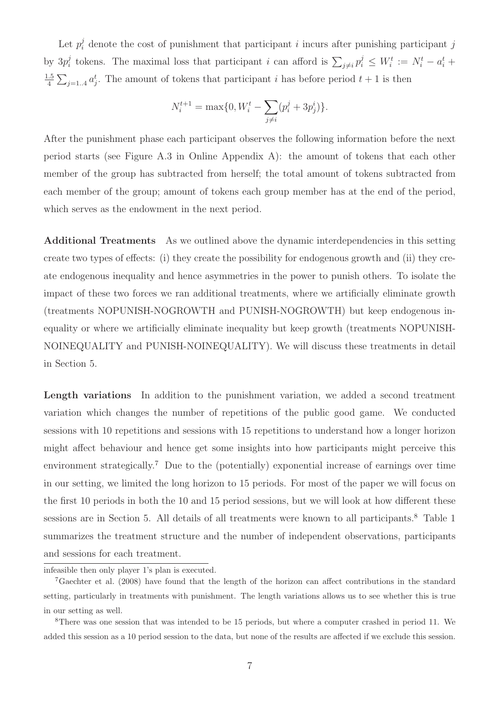Let  $p_i^j$  denote the cost of punishment that participant i incurs after punishing participant j by  $3p_i^j$ <sup>j</sup> tokens. The maximal loss that participant *i* can afford is  $\sum_{j\neq i} p_i^j \leq W_i^t := N_i^t - a_i^t +$ 1.5  $\frac{.5}{4} \sum_{j=1..4} a_j^t$ . The amount of tokens that participant *i* has before period  $t+1$  is then

$$
N_i^{t+1} = \max\{0, W_i^t - \sum_{j \neq i} (p_i^j + 3p_j^i)\}.
$$

After the punishment phase each participant observes the following information before the next period starts (see Figure A.3 in Online Appendix A): the amount of tokens that each other member of the group has subtracted from herself; the total amount of tokens subtracted from each member of the group; amount of tokens each group member has at the end of the period, which serves as the endowment in the next period.

Additional Treatments As we outlined above the dynamic interdependencies in this setting create two types of effects: (i) they create the possibility for endogenous growth and (ii) they create endogenous inequality and hence asymmetries in the power to punish others. To isolate the impact of these two forces we ran additional treatments, where we artificially eliminate growth (treatments NOPUNISH-NOGROWTH and PUNISH-NOGROWTH) but keep endogenous inequality or where we artificially eliminate inequality but keep growth (treatments NOPUNISH-NOINEQUALITY and PUNISH-NOINEQUALITY). We will discuss these treatments in detail in Section 5.

Length variations In addition to the punishment variation, we added a second treatment variation which changes the number of repetitions of the public good game. We conducted sessions with 10 repetitions and sessions with 15 repetitions to understand how a longer horizon might affect behaviour and hence get some insights into how participants might perceive this environment strategically.<sup>7</sup> Due to the (potentially) exponential increase of earnings over time in our setting, we limited the long horizon to 15 periods. For most of the paper we will focus on the first 10 periods in both the 10 and 15 period sessions, but we will look at how different these sessions are in Section 5. All details of all treatments were known to all participants.<sup>8</sup> Table 1 summarizes the treatment structure and the number of independent observations, participants and sessions for each treatment.

infeasible then only player 1's plan is executed.

<sup>7</sup>Gaechter et al. (2008) have found that the length of the horizon can affect contributions in the standard setting, particularly in treatments with punishment. The length variations allows us to see whether this is true in our setting as well.

<sup>8</sup>There was one session that was intended to be 15 periods, but where a computer crashed in period 11. We added this session as a 10 period session to the data, but none of the results are affected if we exclude this session.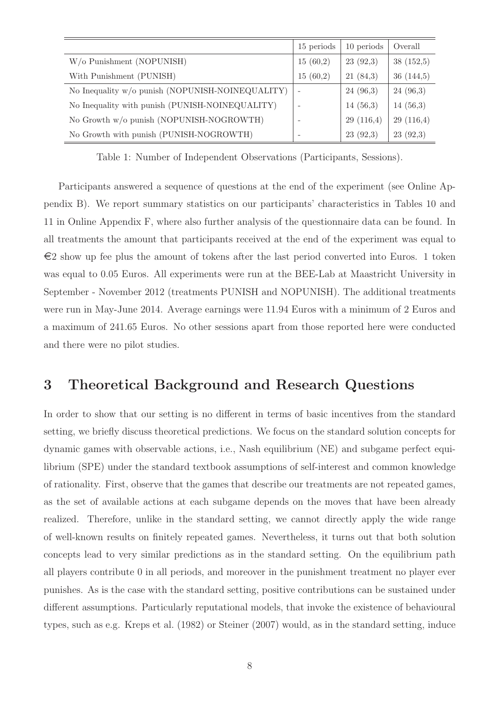|                                                  | 15 periods               | 10 periods | Overall   |
|--------------------------------------------------|--------------------------|------------|-----------|
| W/o Punishment (NOPUNISH)                        | 15(60,2)                 | 23(92,3)   | 38(152,5) |
| With Punishment (PUNISH)                         | 15(60,2)                 | 21(84,3)   | 36(144,5) |
| No Inequality w/o punish (NOPUNISH-NOINEQUALITY) | $\overline{\phantom{a}}$ | 24(96,3)   | 24(96,3)  |
| No Inequality with punish (PUNISH-NOINEQUALITY)  |                          | 14(56,3)   | 14(56,3)  |
| No Growth w/o punish (NOPUNISH-NOGROWTH)         |                          | 29(116,4)  | 29(116,4) |
| No Growth with punish (PUNISH-NOGROWTH)          |                          | 23(92,3)   | 23(92,3)  |

Table 1: Number of Independent Observations (Participants, Sessions).

Participants answered a sequence of questions at the end of the experiment (see Online Appendix B). We report summary statistics on our participants' characteristics in Tables 10 and 11 in Online Appendix F, where also further analysis of the questionnaire data can be found. In all treatments the amount that participants received at the end of the experiment was equal to  $\epsilon$ 2 show up fee plus the amount of tokens after the last period converted into Euros. 1 token was equal to 0.05 Euros. All experiments were run at the BEE-Lab at Maastricht University in September - November 2012 (treatments PUNISH and NOPUNISH). The additional treatments were run in May-June 2014. Average earnings were 11.94 Euros with a minimum of 2 Euros and a maximum of 241.65 Euros. No other sessions apart from those reported here were conducted and there were no pilot studies.

### 3 Theoretical Background and Research Questions

In order to show that our setting is no different in terms of basic incentives from the standard setting, we briefly discuss theoretical predictions. We focus on the standard solution concepts for dynamic games with observable actions, i.e., Nash equilibrium (NE) and subgame perfect equilibrium (SPE) under the standard textbook assumptions of self-interest and common knowledge of rationality. First, observe that the games that describe our treatments are not repeated games, as the set of available actions at each subgame depends on the moves that have been already realized. Therefore, unlike in the standard setting, we cannot directly apply the wide range of well-known results on finitely repeated games. Nevertheless, it turns out that both solution concepts lead to very similar predictions as in the standard setting. On the equilibrium path all players contribute 0 in all periods, and moreover in the punishment treatment no player ever punishes. As is the case with the standard setting, positive contributions can be sustained under different assumptions. Particularly reputational models, that invoke the existence of behavioural types, such as e.g. Kreps et al. (1982) or Steiner (2007) would, as in the standard setting, induce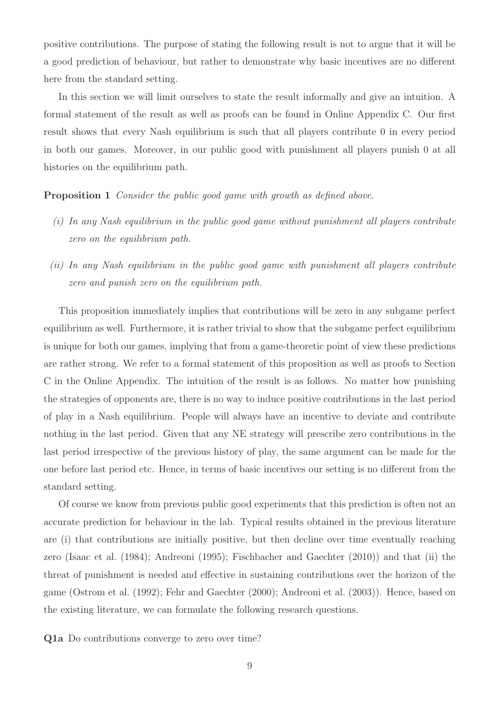positive contributions. The purpose of stating the following result is not to argue that it will be a good prediction of behaviour, but rather to demonstrate why basic incentives are no different here from the standard setting.

In this section we will limit ourselves to state the result informally and give an intuition. A formal statement of the result as well as proofs can be found in Online Appendix C. Our first result shows that every Nash equilibrium is such that all players contribute 0 in every period in both our games. Moreover, in our public good with punishment all players punish 0 at all histories on the equilibrium path.

Proposition 1 Consider the public good game with growth as defined above.

- $(i)$  In any Nash equilibrium in the public good game without punishment all players contribute zero on the equilibrium path.
- (ii) In any Nash equilibrium in the public good game with punishment all players contribute zero and punish zero on the equilibrium path.

This proposition immediately implies that contributions will be zero in any subgame perfect equilibrium as well. Furthermore, it is rather trivial to show that the subgame perfect equilibrium is unique for both our games, implying that from a game-theoretic point of view these predictions are rather strong. We refer to a formal statement of this proposition as well as proofs to Section C in the Online Appendix. The intuition of the result is as follows. No matter how punishing the strategies of opponents are, there is no way to induce positive contributions in the last period of play in a Nash equilibrium. People will always have an incentive to deviate and contribute nothing in the last period. Given that any NE strategy will prescribe zero contributions in the last period irrespective of the previous history of play, the same argument can be made for the one before last period etc. Hence, in terms of basic incentives our setting is no different from the standard setting.

Of course we know from previous public good experiments that this prediction is often not an accurate prediction for behaviour in the lab. Typical results obtained in the previous literature are (i) that contributions are initially positive, but then decline over time eventually reaching zero (Isaac et al. (1984); Andreoni (1995); Fischbacher and Gaechter (2010)) and that (ii) the threat of punishment is needed and effective in sustaining contributions over the horizon of the game (Ostrom et al. (1992); Fehr and Gaechter (2000); Andreoni et al. (2003)). Hence, based on the existing literature, we can formulate the following research questions.

Q1a Do contributions converge to zero over time?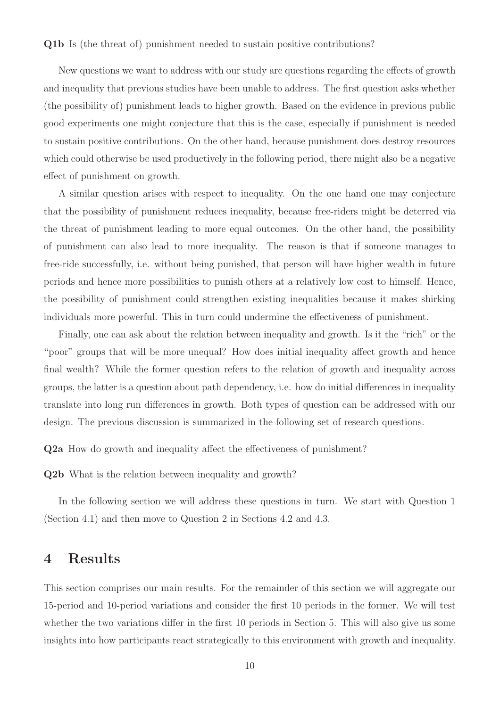#### Q1b Is (the threat of) punishment needed to sustain positive contributions?

New questions we want to address with our study are questions regarding the effects of growth and inequality that previous studies have been unable to address. The first question asks whether (the possibility of) punishment leads to higher growth. Based on the evidence in previous public good experiments one might conjecture that this is the case, especially if punishment is needed to sustain positive contributions. On the other hand, because punishment does destroy resources which could otherwise be used productively in the following period, there might also be a negative effect of punishment on growth.

A similar question arises with respect to inequality. On the one hand one may conjecture that the possibility of punishment reduces inequality, because free-riders might be deterred via the threat of punishment leading to more equal outcomes. On the other hand, the possibility of punishment can also lead to more inequality. The reason is that if someone manages to free-ride successfully, i.e. without being punished, that person will have higher wealth in future periods and hence more possibilities to punish others at a relatively low cost to himself. Hence, the possibility of punishment could strengthen existing inequalities because it makes shirking individuals more powerful. This in turn could undermine the effectiveness of punishment.

Finally, one can ask about the relation between inequality and growth. Is it the "rich" or the "poor" groups that will be more unequal? How does initial inequality affect growth and hence final wealth? While the former question refers to the relation of growth and inequality across groups, the latter is a question about path dependency, i.e. how do initial differences in inequality translate into long run differences in growth. Both types of question can be addressed with our design. The previous discussion is summarized in the following set of research questions.

Q2a How do growth and inequality affect the effectiveness of punishment?

Q2b What is the relation between inequality and growth?

In the following section we will address these questions in turn. We start with Question 1 (Section 4.1) and then move to Question 2 in Sections 4.2 and 4.3.

## 4 Results

This section comprises our main results. For the remainder of this section we will aggregate our 15-period and 10-period variations and consider the first 10 periods in the former. We will test whether the two variations differ in the first 10 periods in Section 5. This will also give us some insights into how participants react strategically to this environment with growth and inequality.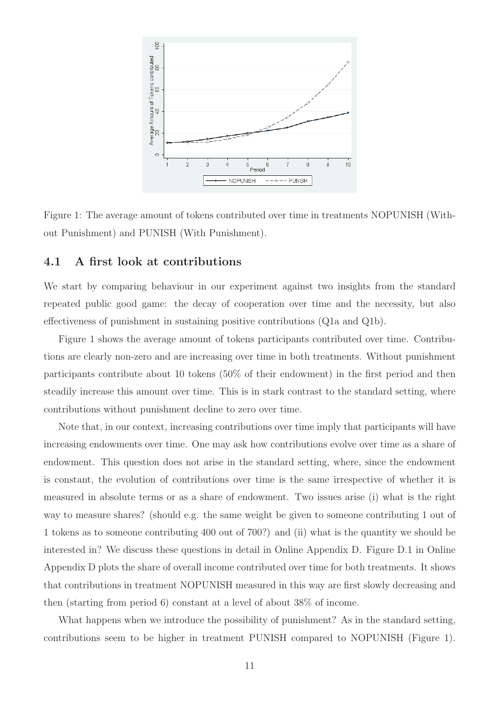

Figure 1: The average amount of tokens contributed over time in treatments NOPUNISH (Without Punishment) and PUNISH (With Punishment).

### 4.1 A first look at contributions

We start by comparing behaviour in our experiment against two insights from the standard repeated public good game: the decay of cooperation over time and the necessity, but also effectiveness of punishment in sustaining positive contributions (Q1a and Q1b).

Figure 1 shows the average amount of tokens participants contributed over time. Contributions are clearly non-zero and are increasing over time in both treatments. Without punishment participants contribute about 10 tokens (50% of their endowment) in the first period and then steadily increase this amount over time. This is in stark contrast to the standard setting, where contributions without punishment decline to zero over time.

Note that, in our context, increasing contributions over time imply that participants will have increasing endowments over time. One may ask how contributions evolve over time as a share of endowment. This question does not arise in the standard setting, where, since the endowment is constant, the evolution of contributions over time is the same irrespective of whether it is measured in absolute terms or as a share of endowment. Two issues arise (i) what is the right way to measure shares? (should e.g. the same weight be given to someone contributing 1 out of 1 tokens as to someone contributing 400 out of 700?) and (ii) what is the quantity we should be interested in? We discuss these questions in detail in Online Appendix D. Figure D.1 in Online Appendix D plots the share of overall income contributed over time for both treatments. It shows that contributions in treatment NOPUNISH measured in this way are first slowly decreasing and then (starting from period 6) constant at a level of about 38% of income.

What happens when we introduce the possibility of punishment? As in the standard setting, contributions seem to be higher in treatment PUNISH compared to NOPUNISH (Figure 1).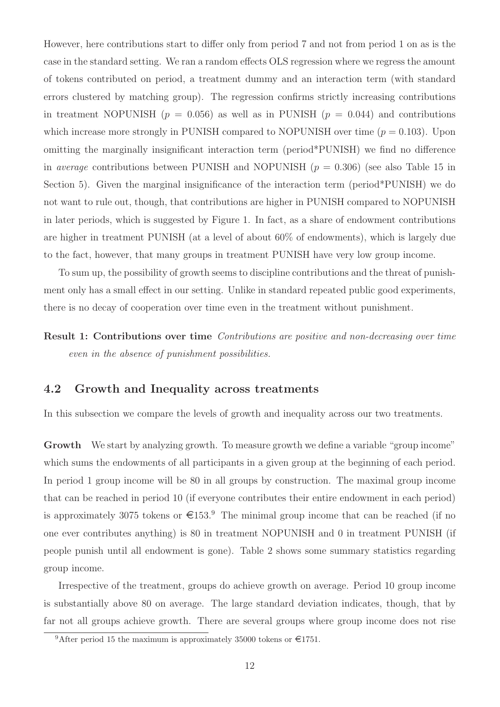However, here contributions start to differ only from period 7 and not from period 1 on as is the case in the standard setting. We ran a random effects OLS regression where we regress the amount of tokens contributed on period, a treatment dummy and an interaction term (with standard errors clustered by matching group). The regression confirms strictly increasing contributions in treatment NOPUNISH  $(p = 0.056)$  as well as in PUNISH  $(p = 0.044)$  and contributions which increase more strongly in PUNISH compared to NOPUNISH over time  $(p = 0.103)$ . Upon omitting the marginally insignificant interaction term (period\*PUNISH) we find no difference in *average* contributions between PUNISH and NOPUNISH  $(p = 0.306)$  (see also Table 15 in Section 5). Given the marginal insignificance of the interaction term (period\*PUNISH) we do not want to rule out, though, that contributions are higher in PUNISH compared to NOPUNISH in later periods, which is suggested by Figure 1. In fact, as a share of endowment contributions are higher in treatment PUNISH (at a level of about 60% of endowments), which is largely due to the fact, however, that many groups in treatment PUNISH have very low group income.

To sum up, the possibility of growth seems to discipline contributions and the threat of punishment only has a small effect in our setting. Unlike in standard repeated public good experiments, there is no decay of cooperation over time even in the treatment without punishment.

Result 1: Contributions over time Contributions are positive and non-decreasing over time even in the absence of punishment possibilities.

### 4.2 Growth and Inequality across treatments

In this subsection we compare the levels of growth and inequality across our two treatments.

Growth We start by analyzing growth. To measure growth we define a variable "group income" which sums the endowments of all participants in a given group at the beginning of each period. In period 1 group income will be 80 in all groups by construction. The maximal group income that can be reached in period 10 (if everyone contributes their entire endowment in each period) is approximately 3075 tokens or  $\epsilon$ 153.<sup>9</sup> The minimal group income that can be reached (if no one ever contributes anything) is 80 in treatment NOPUNISH and 0 in treatment PUNISH (if people punish until all endowment is gone). Table 2 shows some summary statistics regarding group income.

Irrespective of the treatment, groups do achieve growth on average. Period 10 group income is substantially above 80 on average. The large standard deviation indicates, though, that by far not all groups achieve growth. There are several groups where group income does not rise

<sup>&</sup>lt;sup>9</sup>After period 15 the maximum is approximately 35000 tokens or  $\epsilon$ 1751.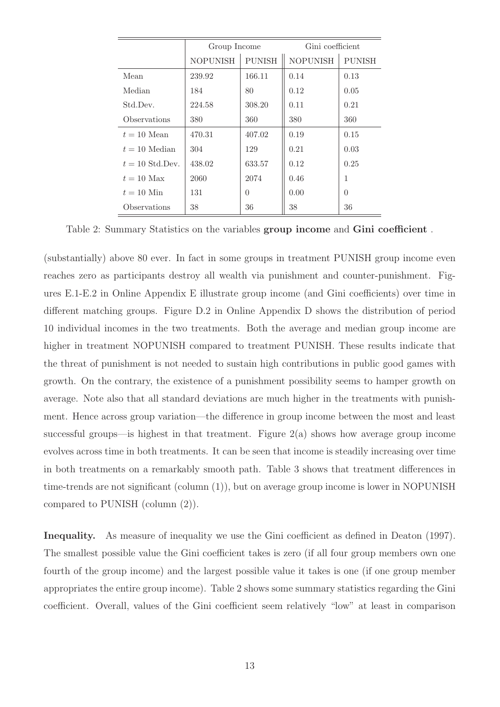|                   | Group Income    |               | Gini coefficient |               |
|-------------------|-----------------|---------------|------------------|---------------|
|                   | <b>NOPUNISH</b> | <b>PUNISH</b> | <b>NOPUNISH</b>  | <b>PUNISH</b> |
| Mean              | 239.92          | 166.11        | 0.14             | 0.13          |
| Median            | 184             | 80            | 0.12             | 0.05          |
| Std.Dev.          | 224.58          | 308.20        | 0.11             | 0.21          |
| Observations      | 380             | 360           | 380              | 360           |
| $t = 10$ Mean     | 470.31          | 407.02        | 0.19             | 0.15          |
| $t = 10$ Median   | 304             | 129           | 0.21             | 0.03          |
| $t = 10$ Std.Dev. | 438.02          | 633.57        | 0.12             | 0.25          |
| $t = 10$ Max      | 2060            | 2074          | 0.46             | 1             |
| $t = 10$ Min      | 131             | $\theta$      | 0.00             | $\Omega$      |
| Observations      | 38              | 36            | 38               | 36            |

Table 2: Summary Statistics on the variables group income and Gini coefficient .

(substantially) above 80 ever. In fact in some groups in treatment PUNISH group income even reaches zero as participants destroy all wealth via punishment and counter-punishment. Figures E.1-E.2 in Online Appendix E illustrate group income (and Gini coefficients) over time in different matching groups. Figure D.2 in Online Appendix D shows the distribution of period 10 individual incomes in the two treatments. Both the average and median group income are higher in treatment NOPUNISH compared to treatment PUNISH. These results indicate that the threat of punishment is not needed to sustain high contributions in public good games with growth. On the contrary, the existence of a punishment possibility seems to hamper growth on average. Note also that all standard deviations are much higher in the treatments with punishment. Hence across group variation—the difference in group income between the most and least successful groups—is highest in that treatment. Figure  $2(a)$  shows how average group income evolves across time in both treatments. It can be seen that income is steadily increasing over time in both treatments on a remarkably smooth path. Table 3 shows that treatment differences in time-trends are not significant (column (1)), but on average group income is lower in NOPUNISH compared to PUNISH (column (2)).

Inequality. As measure of inequality we use the Gini coefficient as defined in Deaton (1997). The smallest possible value the Gini coefficient takes is zero (if all four group members own one fourth of the group income) and the largest possible value it takes is one (if one group member appropriates the entire group income). Table 2 shows some summary statistics regarding the Gini coefficient. Overall, values of the Gini coefficient seem relatively "low" at least in comparison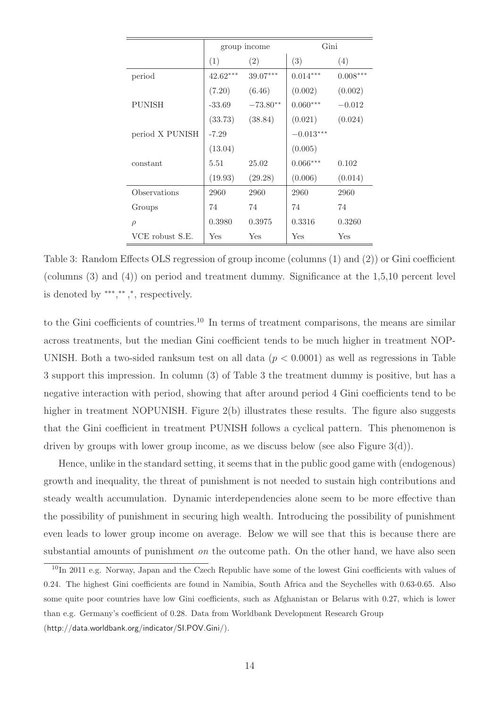|                 |            | group income | Gini        |            |
|-----------------|------------|--------------|-------------|------------|
|                 | (1)<br>(2) |              | (3)         | (4)        |
| period          | $42.62***$ | 39.07***     | $0.014***$  | $0.008***$ |
|                 | (7.20)     | (6.46)       | (0.002)     | (0.002)    |
| <b>PUNISH</b>   | $-33.69$   | $-73.80**$   | $0.060***$  | $-0.012$   |
|                 | (33.73)    | (38.84)      | (0.021)     | (0.024)    |
| period X PUNISH | $-7.29$    |              | $-0.013***$ |            |
|                 | (13.04)    |              | (0.005)     |            |
| constant        | 5.51       | 25.02        | $0.066***$  | 0.102      |
|                 | (19.93)    | (29.28)      | (0.006)     | (0.014)    |
| Observations    | 2960       | 2960         | 2960        | 2960       |
| Groups          | 74         | 74           | 74          | 74         |
| $\rho$          | 0.3980     | 0.3975       | 0.3316      | 0.3260     |
| VCE robust S.E. | Yes        | Yes          | Yes         | Yes        |

Table 3: Random Effects OLS regression of group income (columns (1) and (2)) or Gini coefficient (columns (3) and (4)) on period and treatment dummy. Significance at the 1,5,10 percent level is denoted by \*\*\*,\*\*,\*,\*,\*,\*,\*espectively.

to the Gini coefficients of countries.<sup>10</sup> In terms of treatment comparisons, the means are similar across treatments, but the median Gini coefficient tends to be much higher in treatment NOP-UNISH. Both a two-sided ranksum test on all data  $(p < 0.0001)$  as well as regressions in Table 3 support this impression. In column (3) of Table 3 the treatment dummy is positive, but has a negative interaction with period, showing that after around period 4 Gini coefficients tend to be higher in treatment NOPUNISH. Figure 2(b) illustrates these results. The figure also suggests that the Gini coefficient in treatment PUNISH follows a cyclical pattern. This phenomenon is driven by groups with lower group income, as we discuss below (see also Figure 3(d)).

Hence, unlike in the standard setting, it seems that in the public good game with (endogenous) growth and inequality, the threat of punishment is not needed to sustain high contributions and steady wealth accumulation. Dynamic interdependencies alone seem to be more effective than the possibility of punishment in securing high wealth. Introducing the possibility of punishment even leads to lower group income on average. Below we will see that this is because there are substantial amounts of punishment *on* the outcome path. On the other hand, we have also seen

<sup>&</sup>lt;sup>10</sup>In 2011 e.g. Norway, Japan and the Czech Republic have some of the lowest Gini coefficients with values of 0.24. The highest Gini coefficients are found in Namibia, South Africa and the Seychelles with 0.63-0.65. Also some quite poor countries have low Gini coefficients, such as Afghanistan or Belarus with 0.27, which is lower than e.g. Germany's coefficient of 0.28. Data from Worldbank Development Research Group (http://data.worldbank.org/indicator/SI.POV.Gini/).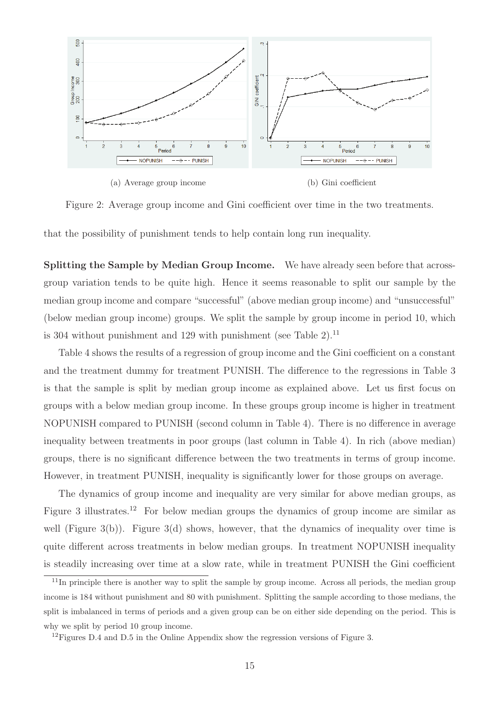

Figure 2: Average group income and Gini coefficient over time in the two treatments.

that the possibility of punishment tends to help contain long run inequality.

Splitting the Sample by Median Group Income. We have already seen before that acrossgroup variation tends to be quite high. Hence it seems reasonable to split our sample by the median group income and compare "successful" (above median group income) and "unsuccessful" (below median group income) groups. We split the sample by group income in period 10, which is 304 without punishment and 129 with punishment (see Table  $2$ ).<sup>11</sup>

Table 4 shows the results of a regression of group income and the Gini coefficient on a constant and the treatment dummy for treatment PUNISH. The difference to the regressions in Table 3 is that the sample is split by median group income as explained above. Let us first focus on groups with a below median group income. In these groups group income is higher in treatment NOPUNISH compared to PUNISH (second column in Table 4). There is no difference in average inequality between treatments in poor groups (last column in Table 4). In rich (above median) groups, there is no significant difference between the two treatments in terms of group income. However, in treatment PUNISH, inequality is significantly lower for those groups on average.

The dynamics of group income and inequality are very similar for above median groups, as Figure 3 illustrates.<sup>12</sup> For below median groups the dynamics of group income are similar as well (Figure 3(b)). Figure 3(d) shows, however, that the dynamics of inequality over time is quite different across treatments in below median groups. In treatment NOPUNISH inequality is steadily increasing over time at a slow rate, while in treatment PUNISH the Gini coefficient

<sup>&</sup>lt;sup>11</sup>In principle there is another way to split the sample by group income. Across all periods, the median group income is 184 without punishment and 80 with punishment. Splitting the sample according to those medians, the split is imbalanced in terms of periods and a given group can be on either side depending on the period. This is why we split by period 10 group income.

<sup>&</sup>lt;sup>12</sup>Figures D.4 and D.5 in the Online Appendix show the regression versions of Figure 3.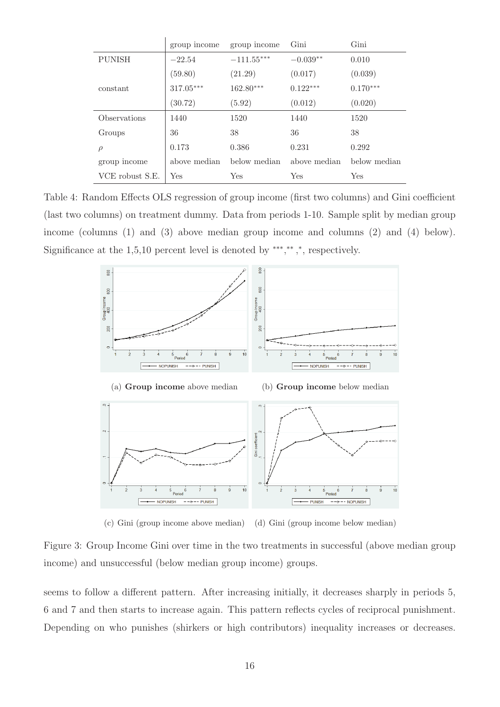|                            | group income | group income | Gini         | Gini         |
|----------------------------|--------------|--------------|--------------|--------------|
| <b>PUNISH</b>              | $-22.54$     | $-111.55***$ | $-0.039**$   | 0.010        |
|                            | (59.80)      | (21.29)      | (0.017)      | (0.039)      |
| constant                   | $317.05***$  | 162.80***    | $0.122***$   | $0.170***$   |
|                            | (30.72)      | (5.92)       | (0.012)      | (0.020)      |
| <i><b>Observations</b></i> | 1440         | 1520         | 1440         | 1520         |
| Groups                     | 36           | 38           | 36           | 38           |
| $\rho$                     | 0.173        | 0.386        | 0.231        | 0.292        |
| group income               | above median | below median | above median | below median |
| VCE robust S.E.            | Yes          | Yes          | Yes          | Yes          |

Table 4: Random Effects OLS regression of group income (first two columns) and Gini coefficient (last two columns) on treatment dummy. Data from periods 1-10. Sample split by median group income (columns (1) and (3) above median group income and columns (2) and (4) below). Significance at the  $1,5,10$  percent level is denoted by \*\*\*,\*\*,\*, respectively.



(c) Gini (group income above median) (d) Gini (group income below median)

Figure 3: Group Income Gini over time in the two treatments in successful (above median group income) and unsuccessful (below median group income) groups.

seems to follow a different pattern. After increasing initially, it decreases sharply in periods 5, 6 and 7 and then starts to increase again. This pattern reflects cycles of reciprocal punishment. Depending on who punishes (shirkers or high contributors) inequality increases or decreases.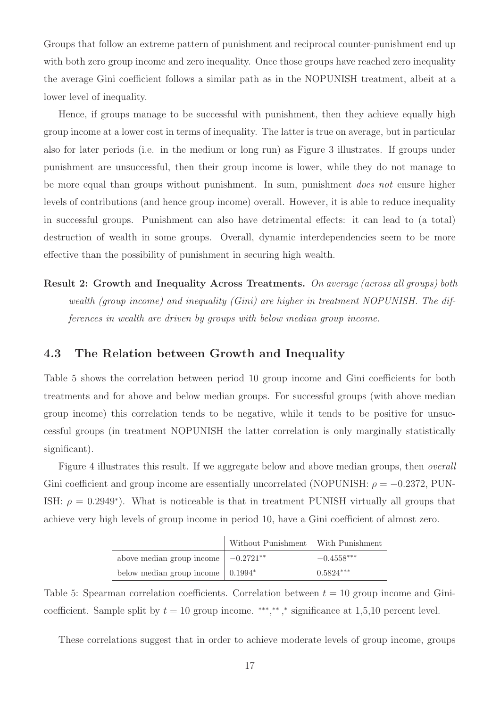Groups that follow an extreme pattern of punishment and reciprocal counter-punishment end up with both zero group income and zero inequality. Once those groups have reached zero inequality the average Gini coefficient follows a similar path as in the NOPUNISH treatment, albeit at a lower level of inequality.

Hence, if groups manage to be successful with punishment, then they achieve equally high group income at a lower cost in terms of inequality. The latter is true on average, but in particular also for later periods (i.e. in the medium or long run) as Figure 3 illustrates. If groups under punishment are unsuccessful, then their group income is lower, while they do not manage to be more equal than groups without punishment. In sum, punishment *does not* ensure higher levels of contributions (and hence group income) overall. However, it is able to reduce inequality in successful groups. Punishment can also have detrimental effects: it can lead to (a total) destruction of wealth in some groups. Overall, dynamic interdependencies seem to be more effective than the possibility of punishment in securing high wealth.

Result 2: Growth and Inequality Across Treatments. On average (across all groups) both wealth (group income) and inequality (Gini) are higher in treatment NOPUNISH. The differences in wealth are driven by groups with below median group income.

### 4.3 The Relation between Growth and Inequality

Table 5 shows the correlation between period 10 group income and Gini coefficients for both treatments and for above and below median groups. For successful groups (with above median group income) this correlation tends to be negative, while it tends to be positive for unsuccessful groups (in treatment NOPUNISH the latter correlation is only marginally statistically significant).

Figure 4 illustrates this result. If we aggregate below and above median groups, then overall Gini coefficient and group income are essentially uncorrelated (NOPUNISH:  $\rho = -0.2372$ , PUN-ISH:  $\rho = 0.2949^*$ ). What is noticeable is that in treatment PUNISH virtually all groups that achieve very high levels of group income in period 10, have a Gini coefficient of almost zero.

|                                                      | Without Punishment   With Punishment |              |
|------------------------------------------------------|--------------------------------------|--------------|
| above median group income $\vert -0.2721^{**} \vert$ |                                      | $-0.4558***$ |
| below median group income $\vert 0.1994^* \vert$     |                                      | $ 0.5824***$ |

Table 5: Spearman correlation coefficients. Correlation between  $t = 10$  group income and Ginicoefficient. Sample split by  $t = 10$  group income. \*\*\*,\*\*,\* significance at 1,5,10 percent level.

These correlations suggest that in order to achieve moderate levels of group income, groups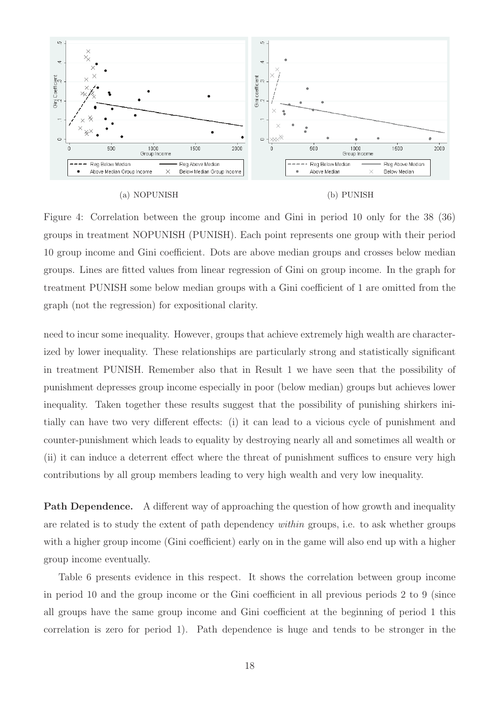



Figure 4: Correlation between the group income and Gini in period 10 only for the 38 (36) groups in treatment NOPUNISH (PUNISH). Each point represents one group with their period 10 group income and Gini coefficient. Dots are above median groups and crosses below median groups. Lines are fitted values from linear regression of Gini on group income. In the graph for treatment PUNISH some below median groups with a Gini coefficient of 1 are omitted from the graph (not the regression) for expositional clarity.

need to incur some inequality. However, groups that achieve extremely high wealth are characterized by lower inequality. These relationships are particularly strong and statistically significant in treatment PUNISH. Remember also that in Result 1 we have seen that the possibility of punishment depresses group income especially in poor (below median) groups but achieves lower inequality. Taken together these results suggest that the possibility of punishing shirkers initially can have two very different effects: (i) it can lead to a vicious cycle of punishment and counter-punishment which leads to equality by destroying nearly all and sometimes all wealth or (ii) it can induce a deterrent effect where the threat of punishment suffices to ensure very high contributions by all group members leading to very high wealth and very low inequality.

Path Dependence. A different way of approaching the question of how growth and inequality are related is to study the extent of path dependency within groups, i.e. to ask whether groups with a higher group income (Gini coefficient) early on in the game will also end up with a higher group income eventually.

Table 6 presents evidence in this respect. It shows the correlation between group income in period 10 and the group income or the Gini coefficient in all previous periods 2 to 9 (since all groups have the same group income and Gini coefficient at the beginning of period 1 this correlation is zero for period 1). Path dependence is huge and tends to be stronger in the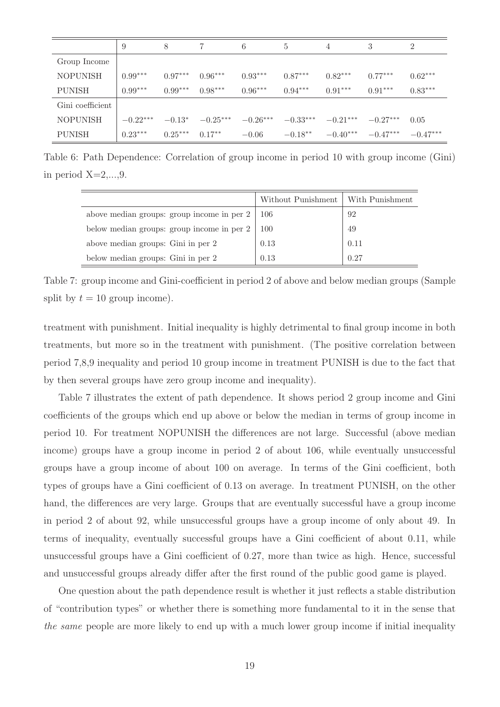|                  | 9          | 8         |            | 6          | 5.         | 4          | 3          | $\overline{2}$ |
|------------------|------------|-----------|------------|------------|------------|------------|------------|----------------|
| Group Income     |            |           |            |            |            |            |            |                |
| <b>NOPUNISH</b>  | $0.99***$  | $0.97***$ | $0.96***$  | $0.93***$  | $0.87***$  | $0.82***$  | $0.77***$  | $0.62***$      |
| <b>PUNISH</b>    | $0.99***$  | $0.99***$ | $0.98***$  | $0.96***$  | $0.94***$  | $0.91***$  | $0.91***$  | $0.83***$      |
| Gini coefficient |            |           |            |            |            |            |            |                |
| <b>NOPUNISH</b>  | $-0.22***$ | $-0.13*$  | $-0.25***$ | $-0.26***$ | $-0.33***$ | $-0.21***$ | $-0.27***$ | 0.05           |
| <b>PUNISH</b>    | $0.23***$  | $0.25***$ | $0.17**$   | $-0.06$    | $-0.18**$  | $-0.40***$ | $-0.47***$ | $-0.47***$     |

Table 6: Path Dependence: Correlation of group income in period 10 with group income (Gini) in period  $X=2,\ldots,9$ .

|                                            | Without Punishment | With Punishment |
|--------------------------------------------|--------------------|-----------------|
| above median groups: group income in per 2 | -106               | 92              |
| below median groups: group income in per 2 | 100                | 49              |
| above median groups: Gini in per 2         | 0.13               | 0.11            |
| below median groups: Gini in per 2         | 0.13               | 0.27            |

Table 7: group income and Gini-coefficient in period 2 of above and below median groups (Sample split by  $t = 10$  group income).

treatment with punishment. Initial inequality is highly detrimental to final group income in both treatments, but more so in the treatment with punishment. (The positive correlation between period 7,8,9 inequality and period 10 group income in treatment PUNISH is due to the fact that by then several groups have zero group income and inequality).

Table 7 illustrates the extent of path dependence. It shows period 2 group income and Gini coefficients of the groups which end up above or below the median in terms of group income in period 10. For treatment NOPUNISH the differences are not large. Successful (above median income) groups have a group income in period 2 of about 106, while eventually unsuccessful groups have a group income of about 100 on average. In terms of the Gini coefficient, both types of groups have a Gini coefficient of 0.13 on average. In treatment PUNISH, on the other hand, the differences are very large. Groups that are eventually successful have a group income in period 2 of about 92, while unsuccessful groups have a group income of only about 49. In terms of inequality, eventually successful groups have a Gini coefficient of about 0.11, while unsuccessful groups have a Gini coefficient of 0.27, more than twice as high. Hence, successful and unsuccessful groups already differ after the first round of the public good game is played.

One question about the path dependence result is whether it just reflects a stable distribution of "contribution types" or whether there is something more fundamental to it in the sense that the same people are more likely to end up with a much lower group income if initial inequality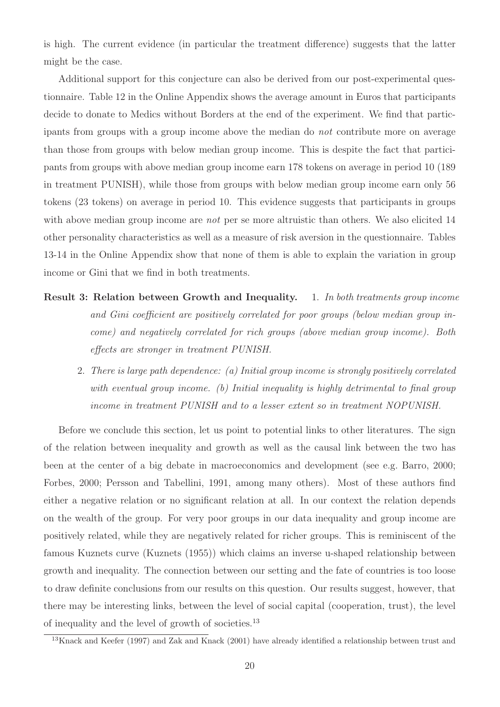is high. The current evidence (in particular the treatment difference) suggests that the latter might be the case.

Additional support for this conjecture can also be derived from our post-experimental questionnaire. Table 12 in the Online Appendix shows the average amount in Euros that participants decide to donate to Medics without Borders at the end of the experiment. We find that participants from groups with a group income above the median do not contribute more on average than those from groups with below median group income. This is despite the fact that participants from groups with above median group income earn 178 tokens on average in period 10 (189 in treatment PUNISH), while those from groups with below median group income earn only 56 tokens (23 tokens) on average in period 10. This evidence suggests that participants in groups with above median group income are *not* per se more altruistic than others. We also elicited 14 other personality characteristics as well as a measure of risk aversion in the questionnaire. Tables 13-14 in the Online Appendix show that none of them is able to explain the variation in group income or Gini that we find in both treatments.

- Result 3: Relation between Growth and Inequality. 1. In both treatments group income and Gini coefficient are positively correlated for poor groups (below median group income) and negatively correlated for rich groups (above median group income). Both effects are stronger in treatment PUNISH.
	- 2. There is large path dependence: (a) Initial group income is strongly positively correlated with eventual group income. (b) Initial inequality is highly detrimental to final group income in treatment PUNISH and to a lesser extent so in treatment NOPUNISH.

Before we conclude this section, let us point to potential links to other literatures. The sign of the relation between inequality and growth as well as the causal link between the two has been at the center of a big debate in macroeconomics and development (see e.g. Barro, 2000; Forbes, 2000; Persson and Tabellini, 1991, among many others). Most of these authors find either a negative relation or no significant relation at all. In our context the relation depends on the wealth of the group. For very poor groups in our data inequality and group income are positively related, while they are negatively related for richer groups. This is reminiscent of the famous Kuznets curve (Kuznets (1955)) which claims an inverse u-shaped relationship between growth and inequality. The connection between our setting and the fate of countries is too loose to draw definite conclusions from our results on this question. Our results suggest, however, that there may be interesting links, between the level of social capital (cooperation, trust), the level of inequality and the level of growth of societies.<sup>13</sup>

 $13$ Knack and Keefer (1997) and Zak and Knack (2001) have already identified a relationship between trust and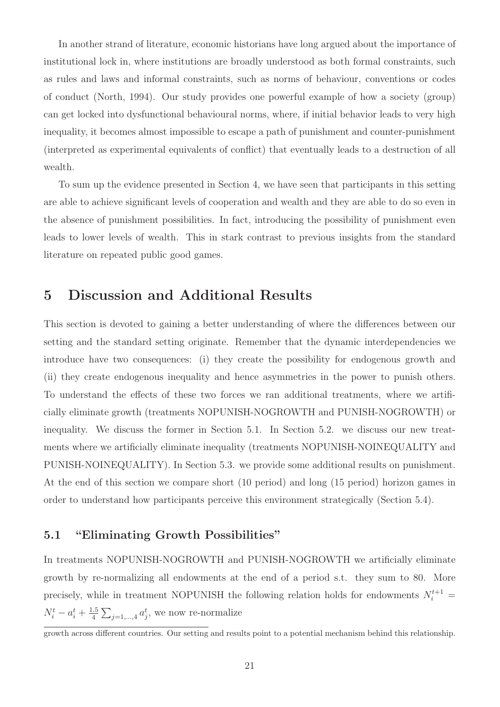In another strand of literature, economic historians have long argued about the importance of institutional lock in, where institutions are broadly understood as both formal constraints, such as rules and laws and informal constraints, such as norms of behaviour, conventions or codes of conduct (North, 1994). Our study provides one powerful example of how a society (group) can get locked into dysfunctional behavioural norms, where, if initial behavior leads to very high inequality, it becomes almost impossible to escape a path of punishment and counter-punishment (interpreted as experimental equivalents of conflict) that eventually leads to a destruction of all wealth.

To sum up the evidence presented in Section 4, we have seen that participants in this setting are able to achieve significant levels of cooperation and wealth and they are able to do so even in the absence of punishment possibilities. In fact, introducing the possibility of punishment even leads to lower levels of wealth. This in stark contrast to previous insights from the standard literature on repeated public good games.

## 5 Discussion and Additional Results

This section is devoted to gaining a better understanding of where the differences between our setting and the standard setting originate. Remember that the dynamic interdependencies we introduce have two consequences: (i) they create the possibility for endogenous growth and (ii) they create endogenous inequality and hence asymmetries in the power to punish others. To understand the effects of these two forces we ran additional treatments, where we artificially eliminate growth (treatments NOPUNISH-NOGROWTH and PUNISH-NOGROWTH) or inequality. We discuss the former in Section 5.1. In Section 5.2. we discuss our new treatments where we artificially eliminate inequality (treatments NOPUNISH-NOINEQUALITY and PUNISH-NOINEQUALITY). In Section 5.3. we provide some additional results on punishment. At the end of this section we compare short (10 period) and long (15 period) horizon games in order to understand how participants perceive this environment strategically (Section 5.4).

### 5.1 "Eliminating Growth Possibilities"

In treatments NOPUNISH-NOGROWTH and PUNISH-NOGROWTH we artificially eliminate growth by re-normalizing all endowments at the end of a period s.t. they sum to 80. More precisely, while in treatment NOPUNISH the following relation holds for endowments  $N_i^{t+1}$  =  $N_i^t - a_i^t + \frac{1.5}{4}$  $\frac{1.5}{4} \sum_{j=1,\dots,4} a_j^t$ , we now re-normalize

growth across different countries. Our setting and results point to a potential mechanism behind this relationship.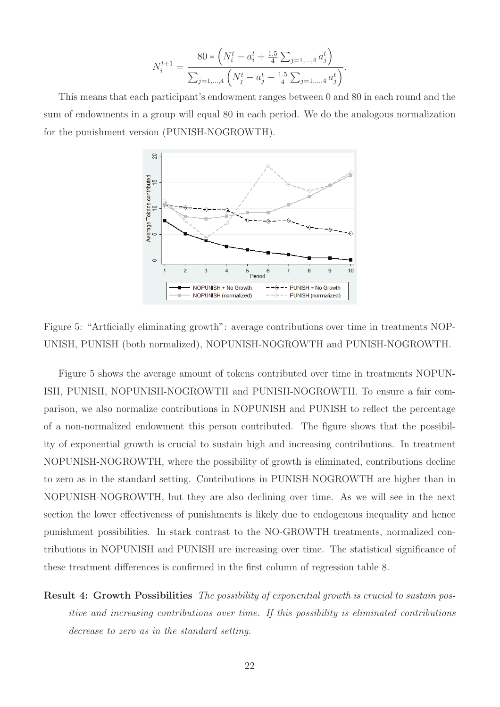$$
N_i^{t+1} = \frac{80 * \left(N_i^t - a_i^t + \frac{1.5}{4} \sum_{j=1,\dots,4} a_j^t\right)}{\sum_{j=1,\dots,4} \left(N_j^t - a_j^t + \frac{1.5}{4} \sum_{j=1,\dots,4} a_j^t\right)}.
$$

This means that each participant's endowment ranges between 0 and 80 in each round and the sum of endowments in a group will equal 80 in each period. We do the analogous normalization for the punishment version (PUNISH-NOGROWTH).



Figure 5: "Artficially eliminating growth": average contributions over time in treatments NOP-UNISH, PUNISH (both normalized), NOPUNISH-NOGROWTH and PUNISH-NOGROWTH.

Figure 5 shows the average amount of tokens contributed over time in treatments NOPUN-ISH, PUNISH, NOPUNISH-NOGROWTH and PUNISH-NOGROWTH. To ensure a fair comparison, we also normalize contributions in NOPUNISH and PUNISH to reflect the percentage of a non-normalized endowment this person contributed. The figure shows that the possibility of exponential growth is crucial to sustain high and increasing contributions. In treatment NOPUNISH-NOGROWTH, where the possibility of growth is eliminated, contributions decline to zero as in the standard setting. Contributions in PUNISH-NOGROWTH are higher than in NOPUNISH-NOGROWTH, but they are also declining over time. As we will see in the next section the lower effectiveness of punishments is likely due to endogenous inequality and hence punishment possibilities. In stark contrast to the NO-GROWTH treatments, normalized contributions in NOPUNISH and PUNISH are increasing over time. The statistical significance of these treatment differences is confirmed in the first column of regression table 8.

Result 4: Growth Possibilities The possibility of exponential growth is crucial to sustain positive and increasing contributions over time. If this possibility is eliminated contributions decrease to zero as in the standard setting.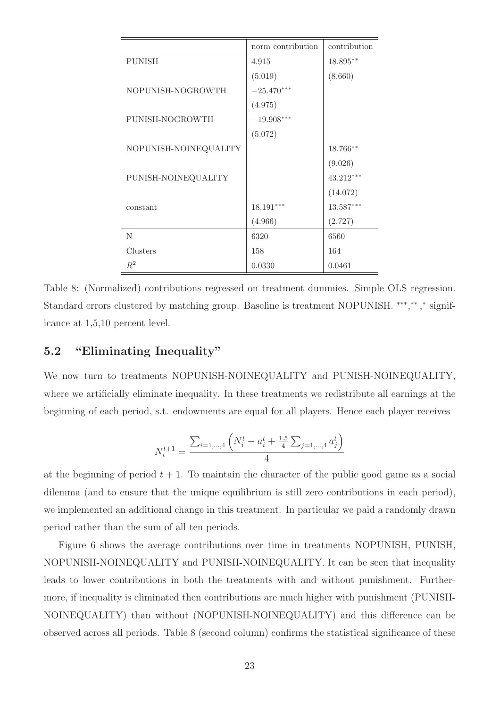|                       | norm contribution | contribution |
|-----------------------|-------------------|--------------|
| <b>PUNISH</b>         | 4.915             | 18.895**     |
|                       | (5.019)           | (8.660)      |
| NOPUNISH-NOGROWTH     | $-25.470***$      |              |
|                       | (4.975)           |              |
| PUNISH-NOGROWTH       | $-19.908***$      |              |
|                       | (5.072)           |              |
| NOPUNISH-NOINEQUALITY |                   | $18.766**$   |
|                       |                   | (9.026)      |
| PUNISH-NOINEQUALITY   |                   | $43.212***$  |
|                       |                   | (14.072)     |
| constant              | 18.191***         | 13.587***    |
|                       | (4.966)           | (2.727)      |
| N                     | 6320              | 6560         |
| Clusters              | 158               | 164          |
| $R^2$                 | 0.0330            | 0.0461       |

Table 8: (Normalized) contributions regressed on treatment dummies. Simple OLS regression. Standard errors clustered by matching group. Baseline is treatment NOPUNISH. \*\*\*,\*\*,\* significance at 1,5,10 percent level.

### 5.2 "Eliminating Inequality"

We now turn to treatments NOPUNISH-NOINEQUALITY and PUNISH-NOINEQUALITY, where we artificially eliminate inequality. In these treatments we redistribute all earnings at the beginning of each period, s.t. endowments are equal for all players. Hence each player receives

$$
N_i^{t+1} = \frac{\sum_{i=1,\dots,4} \left( N_i^t - a_i^t + \frac{1.5}{4} \sum_{j=1,\dots,4} a_j^t \right)}{4}
$$

at the beginning of period  $t + 1$ . To maintain the character of the public good game as a social dilemma (and to ensure that the unique equilibrium is still zero contributions in each period), we implemented an additional change in this treatment. In particular we paid a randomly drawn period rather than the sum of all ten periods.

Figure 6 shows the average contributions over time in treatments NOPUNISH, PUNISH, NOPUNISH-NOINEQUALITY and PUNISH-NOINEQUALITY. It can be seen that inequality leads to lower contributions in both the treatments with and without punishment. Furthermore, if inequality is eliminated then contributions are much higher with punishment (PUNISH-NOINEQUALITY) than without (NOPUNISH-NOINEQUALITY) and this difference can be observed across all periods. Table 8 (second column) confirms the statistical significance of these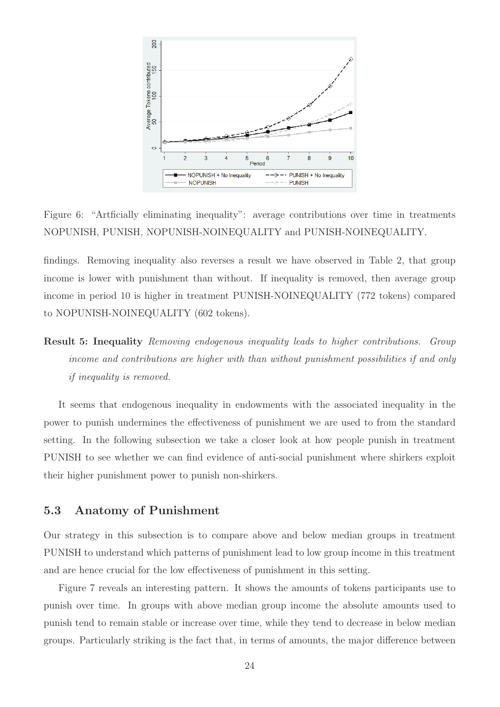

Figure 6: "Artficially eliminating inequality": average contributions over time in treatments NOPUNISH, PUNISH, NOPUNISH-NOINEQUALITY and PUNISH-NOINEQUALITY.

findings. Removing inequality also reverses a result we have observed in Table 2, that group income is lower with punishment than without. If inequality is removed, then average group income in period 10 is higher in treatment PUNISH-NOINEQUALITY (772 tokens) compared to NOPUNISH-NOINEQUALITY (602 tokens).

Result 5: Inequality Removing endogenous inequality leads to higher contributions. Group income and contributions are higher with than without punishment possibilities if and only if inequality is removed.

It seems that endogenous inequality in endowments with the associated inequality in the power to punish undermines the effectiveness of punishment we are used to from the standard setting. In the following subsection we take a closer look at how people punish in treatment PUNISH to see whether we can find evidence of anti-social punishment where shirkers exploit their higher punishment power to punish non-shirkers.

### 5.3 Anatomy of Punishment

Our strategy in this subsection is to compare above and below median groups in treatment PUNISH to understand which patterns of punishment lead to low group income in this treatment and are hence crucial for the low effectiveness of punishment in this setting.

Figure 7 reveals an interesting pattern. It shows the amounts of tokens participants use to punish over time. In groups with above median group income the absolute amounts used to punish tend to remain stable or increase over time, while they tend to decrease in below median groups. Particularly striking is the fact that, in terms of amounts, the major difference between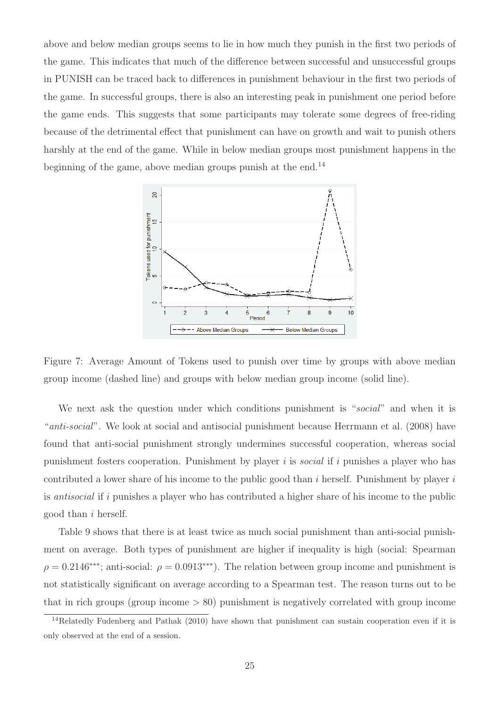above and below median groups seems to lie in how much they punish in the first two periods of the game. This indicates that much of the difference between successful and unsuccessful groups in PUNISH can be traced back to differences in punishment behaviour in the first two periods of the game. In successful groups, there is also an interesting peak in punishment one period before the game ends. This suggests that some participants may tolerate some degrees of free-riding because of the detrimental effect that punishment can have on growth and wait to punish others harshly at the end of the game. While in below median groups most punishment happens in the beginning of the game, above median groups punish at the end.<sup>14</sup>



Figure 7: Average Amount of Tokens used to punish over time by groups with above median group income (dashed line) and groups with below median group income (solid line).

We next ask the question under which conditions punishment is "social" and when it is "anti-social". We look at social and antisocial punishment because Herrmann et al. (2008) have found that anti-social punishment strongly undermines successful cooperation, whereas social punishment fosters cooperation. Punishment by player i is *social* if i punishes a player who has contributed a lower share of his income to the public good than  $i$  herself. Punishment by player  $i$ is antisocial if i punishes a player who has contributed a higher share of his income to the public good than i herself.

Table 9 shows that there is at least twice as much social punishment than anti-social punishment on average. Both types of punishment are higher if inequality is high (social: Spearman  $\rho = 0.2146$ <sup>\*\*\*</sup>; anti-social:  $\rho = 0.0913$ <sup>\*\*\*</sup>). The relation between group income and punishment is not statistically significant on average according to a Spearman test. The reason turns out to be that in rich groups (group income  $> 80$ ) punishment is negatively correlated with group income

<sup>&</sup>lt;sup>14</sup>Relatedly Fudenberg and Pathak (2010) have shown that punishment can sustain cooperation even if it is only observed at the end of a session.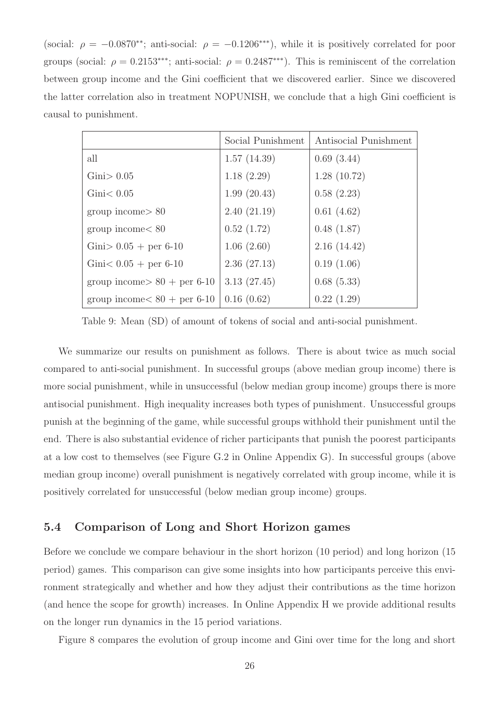(social:  $\rho = -0.0870^{**}$ ; anti-social:  $\rho = -0.1206^{***}$ ), while it is positively correlated for poor groups (social:  $\rho = 0.2153$ <sup>\*\*\*</sup>; anti-social:  $\rho = 0.2487$ <sup>\*\*\*</sup>). This is reminiscent of the correlation between group income and the Gini coefficient that we discovered earlier. Since we discovered the latter correlation also in treatment NOPUNISH, we conclude that a high Gini coefficient is causal to punishment.

|                                | Social Punishment | Antisocial Punishment |
|--------------------------------|-------------------|-----------------------|
| all                            | 1.57(14.39)       | 0.69(3.44)            |
| Gini > 0.05                    | 1.18(2.29)        | 1.28(10.72)           |
| Gini < 0.05                    | 1.99(20.43)       | 0.58(2.23)            |
| $\text{group income} > 80$     | 2.40(21.19)       | 0.61(4.62)            |
| group income < 80              | 0.52(1.72)        | 0.48(1.87)            |
| Gini > $0.05 +$ per 6-10       | 1.06(2.60)        | 2.16(14.42)           |
| Gini $< 0.05 +$ per 6-10       | 2.36(27.13)       | 0.19(1.06)            |
| group income $> 80 +$ per 6-10 | 3.13(27.45)       | 0.68(5.33)            |
| group income $< 80 +$ per 6-10 | 0.16(0.62)        | 0.22(1.29)            |

Table 9: Mean (SD) of amount of tokens of social and anti-social punishment.

We summarize our results on punishment as follows. There is about twice as much social compared to anti-social punishment. In successful groups (above median group income) there is more social punishment, while in unsuccessful (below median group income) groups there is more antisocial punishment. High inequality increases both types of punishment. Unsuccessful groups punish at the beginning of the game, while successful groups withhold their punishment until the end. There is also substantial evidence of richer participants that punish the poorest participants at a low cost to themselves (see Figure G.2 in Online Appendix G). In successful groups (above median group income) overall punishment is negatively correlated with group income, while it is positively correlated for unsuccessful (below median group income) groups.

### 5.4 Comparison of Long and Short Horizon games

Before we conclude we compare behaviour in the short horizon (10 period) and long horizon (15 period) games. This comparison can give some insights into how participants perceive this environment strategically and whether and how they adjust their contributions as the time horizon (and hence the scope for growth) increases. In Online Appendix H we provide additional results on the longer run dynamics in the 15 period variations.

Figure 8 compares the evolution of group income and Gini over time for the long and short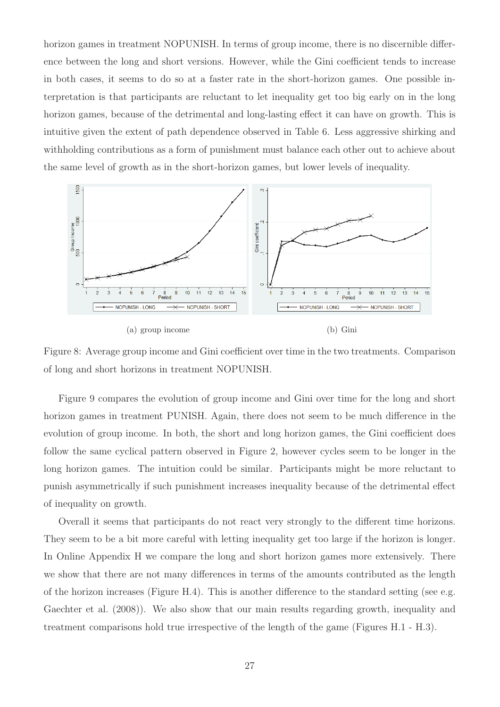horizon games in treatment NOPUNISH. In terms of group income, there is no discernible difference between the long and short versions. However, while the Gini coefficient tends to increase in both cases, it seems to do so at a faster rate in the short-horizon games. One possible interpretation is that participants are reluctant to let inequality get too big early on in the long horizon games, because of the detrimental and long-lasting effect it can have on growth. This is intuitive given the extent of path dependence observed in Table 6. Less aggressive shirking and withholding contributions as a form of punishment must balance each other out to achieve about the same level of growth as in the short-horizon games, but lower levels of inequality.



Figure 8: Average group income and Gini coefficient over time in the two treatments. Comparison of long and short horizons in treatment NOPUNISH.

Figure 9 compares the evolution of group income and Gini over time for the long and short horizon games in treatment PUNISH. Again, there does not seem to be much difference in the evolution of group income. In both, the short and long horizon games, the Gini coefficient does follow the same cyclical pattern observed in Figure 2, however cycles seem to be longer in the long horizon games. The intuition could be similar. Participants might be more reluctant to punish asymmetrically if such punishment increases inequality because of the detrimental effect of inequality on growth.

Overall it seems that participants do not react very strongly to the different time horizons. They seem to be a bit more careful with letting inequality get too large if the horizon is longer. In Online Appendix H we compare the long and short horizon games more extensively. There we show that there are not many differences in terms of the amounts contributed as the length of the horizon increases (Figure H.4). This is another difference to the standard setting (see e.g. Gaechter et al. (2008)). We also show that our main results regarding growth, inequality and treatment comparisons hold true irrespective of the length of the game (Figures H.1 - H.3).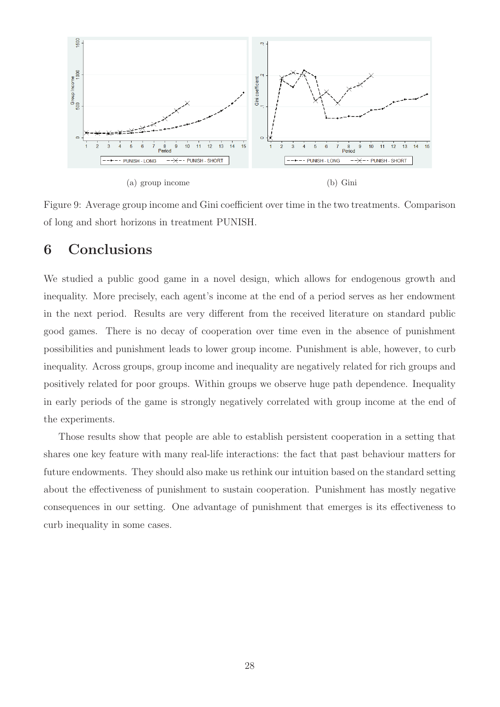

Figure 9: Average group income and Gini coefficient over time in the two treatments. Comparison of long and short horizons in treatment PUNISH.

## 6 Conclusions

We studied a public good game in a novel design, which allows for endogenous growth and inequality. More precisely, each agent's income at the end of a period serves as her endowment in the next period. Results are very different from the received literature on standard public good games. There is no decay of cooperation over time even in the absence of punishment possibilities and punishment leads to lower group income. Punishment is able, however, to curb inequality. Across groups, group income and inequality are negatively related for rich groups and positively related for poor groups. Within groups we observe huge path dependence. Inequality in early periods of the game is strongly negatively correlated with group income at the end of the experiments.

Those results show that people are able to establish persistent cooperation in a setting that shares one key feature with many real-life interactions: the fact that past behaviour matters for future endowments. They should also make us rethink our intuition based on the standard setting about the effectiveness of punishment to sustain cooperation. Punishment has mostly negative consequences in our setting. One advantage of punishment that emerges is its effectiveness to curb inequality in some cases.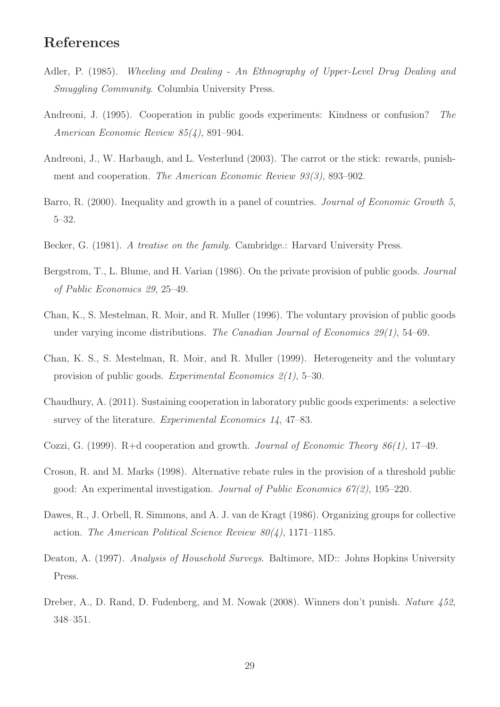## References

- Adler, P. (1985). Wheeling and Dealing An Ethnography of Upper-Level Drug Dealing and Smuggling Community. Columbia University Press.
- Andreoni, J. (1995). Cooperation in public goods experiments: Kindness or confusion? The American Economic Review 85(4), 891–904.
- Andreoni, J., W. Harbaugh, and L. Vesterlund (2003). The carrot or the stick: rewards, punishment and cooperation. The American Economic Review 93(3), 893–902.
- Barro, R. (2000). Inequality and growth in a panel of countries. *Journal of Economic Growth 5*, 5–32.
- Becker, G. (1981). A treatise on the family. Cambridge.: Harvard University Press.
- Bergstrom, T., L. Blume, and H. Varian (1986). On the private provision of public goods. Journal of Public Economics 29, 25–49.
- Chan, K., S. Mestelman, R. Moir, and R. Muller (1996). The voluntary provision of public goods under varying income distributions. The Canadian Journal of Economics  $29(1)$ , 54–69.
- Chan, K. S., S. Mestelman, R. Moir, and R. Muller (1999). Heterogeneity and the voluntary provision of public goods. Experimental Economics 2(1), 5–30.
- Chaudhury, A. (2011). Sustaining cooperation in laboratory public goods experiments: a selective survey of the literature. Experimental Economics 14, 47–83.
- Cozzi, G. (1999). R+d cooperation and growth. Journal of Economic Theory 86(1), 17–49.
- Croson, R. and M. Marks (1998). Alternative rebate rules in the provision of a threshold public good: An experimental investigation. Journal of Public Economics 67(2), 195–220.
- Dawes, R., J. Orbell, R. Simmons, and A. J. van de Kragt (1986). Organizing groups for collective action. The American Political Science Review  $80(4)$ , 1171–1185.
- Deaton, A. (1997). Analysis of Household Surveys. Baltimore, MD:: Johns Hopkins University Press.
- Dreber, A., D. Rand, D. Fudenberg, and M. Nowak (2008). Winners don't punish. Nature 452, 348–351.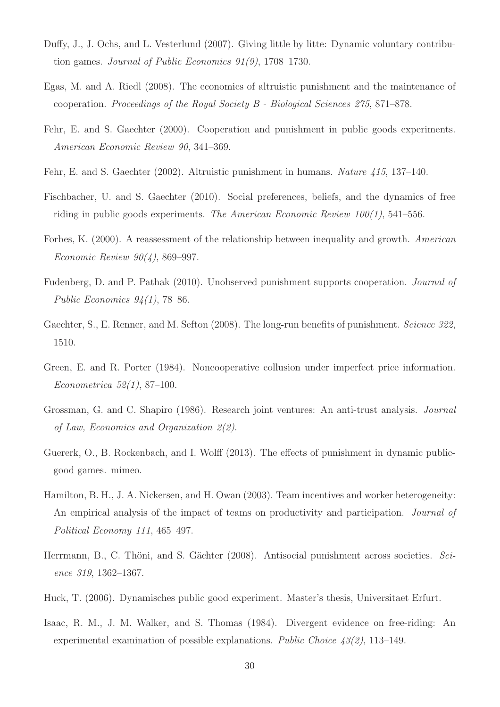- Duffy, J., J. Ochs, and L. Vesterlund (2007). Giving little by litte: Dynamic voluntary contribution games. Journal of Public Economics 91(9), 1708–1730.
- Egas, M. and A. Riedl (2008). The economics of altruistic punishment and the maintenance of cooperation. Proceedings of the Royal Society B - Biological Sciences 275, 871–878.
- Fehr, E. and S. Gaechter (2000). Cooperation and punishment in public goods experiments. American Economic Review 90, 341–369.
- Fehr, E. and S. Gaechter (2002). Altruistic punishment in humans. Nature 415, 137–140.
- Fischbacher, U. and S. Gaechter (2010). Social preferences, beliefs, and the dynamics of free riding in public goods experiments. The American Economic Review  $100(1)$ , 541–556.
- Forbes, K. (2000). A reassessment of the relationship between inequality and growth. American Economic Review 90(4), 869–997.
- Fudenberg, D. and P. Pathak (2010). Unobserved punishment supports cooperation. Journal of Public Economics 94(1), 78–86.
- Gaechter, S., E. Renner, and M. Sefton (2008). The long-run benefits of punishment. Science 322, 1510.
- Green, E. and R. Porter (1984). Noncooperative collusion under imperfect price information. Econometrica 52(1), 87–100.
- Grossman, G. and C. Shapiro (1986). Research joint ventures: An anti-trust analysis. Journal of Law, Economics and Organization 2(2).
- Guererk, O., B. Rockenbach, and I. Wolff (2013). The effects of punishment in dynamic publicgood games. mimeo.
- Hamilton, B. H., J. A. Nickersen, and H. Owan (2003). Team incentives and worker heterogeneity: An empirical analysis of the impact of teams on productivity and participation. Journal of Political Economy 111, 465–497.
- Herrmann, B., C. Thöni, and S. Gächter  $(2008)$ . Antisocial punishment across societies. Science 319, 1362–1367.
- Huck, T. (2006). Dynamisches public good experiment. Master's thesis, Universitaet Erfurt.
- Isaac, R. M., J. M. Walker, and S. Thomas (1984). Divergent evidence on free-riding: An experimental examination of possible explanations. Public Choice 43(2), 113–149.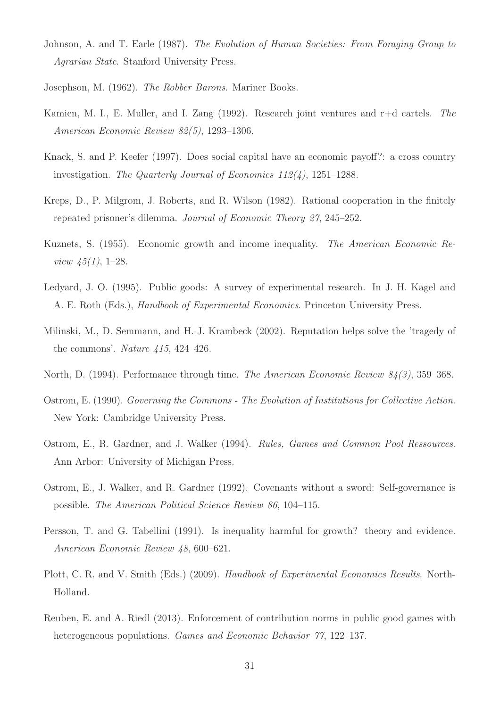- Johnson, A. and T. Earle (1987). The Evolution of Human Societies: From Foraging Group to Agrarian State. Stanford University Press.
- Josephson, M. (1962). The Robber Barons. Mariner Books.
- Kamien, M. I., E. Muller, and I. Zang (1992). Research joint ventures and r+d cartels. The American Economic Review 82(5), 1293–1306.
- Knack, S. and P. Keefer (1997). Does social capital have an economic payoff?: a cross country investigation. The Quarterly Journal of Economics 112(4), 1251–1288.
- Kreps, D., P. Milgrom, J. Roberts, and R. Wilson (1982). Rational cooperation in the finitely repeated prisoner's dilemma. Journal of Economic Theory 27, 245–252.
- Kuznets, S. (1955). Economic growth and income inequality. The American Economic Re*view 45(1)*, 1–28.
- Ledyard, J. O. (1995). Public goods: A survey of experimental research. In J. H. Kagel and A. E. Roth (Eds.), Handbook of Experimental Economics. Princeton University Press.
- Milinski, M., D. Semmann, and H.-J. Krambeck (2002). Reputation helps solve the 'tragedy of the commons'. Nature  $\mu$ 15, 424-426.
- North, D. (1994). Performance through time. *The American Economic Review 84(3)*, 359–368.
- Ostrom, E. (1990). Governing the Commons The Evolution of Institutions for Collective Action. New York: Cambridge University Press.
- Ostrom, E., R. Gardner, and J. Walker (1994). Rules, Games and Common Pool Ressources. Ann Arbor: University of Michigan Press.
- Ostrom, E., J. Walker, and R. Gardner (1992). Covenants without a sword: Self-governance is possible. The American Political Science Review 86, 104–115.
- Persson, T. and G. Tabellini (1991). Is inequality harmful for growth? theory and evidence. American Economic Review 48, 600–621.
- Plott, C. R. and V. Smith (Eds.) (2009). Handbook of Experimental Economics Results. North-Holland.
- Reuben, E. and A. Riedl (2013). Enforcement of contribution norms in public good games with heterogeneous populations. *Games and Economic Behavior 77*, 122–137.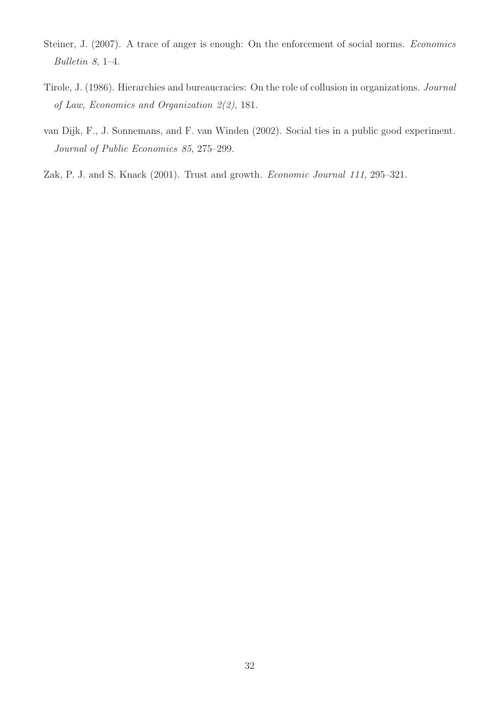- Steiner, J. (2007). A trace of anger is enough: On the enforcement of social norms. Economics Bulletin 8, 1–4.
- Tirole, J. (1986). Hierarchies and bureaucracies: On the role of collusion in organizations. Journal of Law, Economics and Organization 2(2), 181.
- van Dijk, F., J. Sonnemans, and F. van Winden (2002). Social ties in a public good experiment. Journal of Public Economics 85, 275–299.
- Zak, P. J. and S. Knack (2001). Trust and growth. *Economic Journal 111*, 295–321.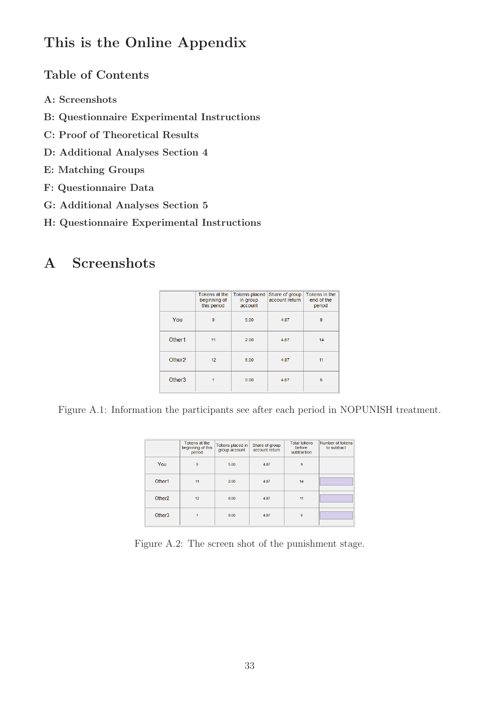## This is the Online Appendix

### Table of Contents

- A: Screenshots
- B: Questionnaire Experimental Instructions
- C: Proof of Theoretical Results
- D: Additional Analyses Section 4
- E: Matching Groups
- F: Questionnaire Data
- G: Additional Analyses Section 5
- H: Questionnaire Experimental Instructions

## A Screenshots

|                    | Tokens at the<br>beginning of<br>this period | <b>Tokens placed</b><br>in group<br>account | Share of group<br>account return | Tokens in the<br>end of the<br>period |
|--------------------|----------------------------------------------|---------------------------------------------|----------------------------------|---------------------------------------|
| You                | 9                                            | 5.00                                        | 4.87                             | 9                                     |
| Other1             | 11                                           | 2.00                                        | 4.87                             | 14                                    |
| Other <sub>2</sub> | 12 <sup>2</sup>                              | 6.00                                        | 4.87                             | 11                                    |
| Other <sub>3</sub> |                                              | 0.00                                        | 4.87                             | 6                                     |

Figure A.1: Information the participants see after each period in NOPUNISH treatment.

|                    | Tokens at the<br>beginning of this<br>period | Tokens placed in<br>group account | Share of group<br>account return | <b>Total tokens</b><br>before<br>subtraction | Number of tokens<br>to subtract |
|--------------------|----------------------------------------------|-----------------------------------|----------------------------------|----------------------------------------------|---------------------------------|
| You                | $\overline{9}$                               | 5.00                              | 4.87                             | $\overline{9}$                               |                                 |
| Other1             | 11                                           | 2.00                              | 4.87                             | 14                                           |                                 |
| Other <sub>2</sub> | 12                                           | 6.00                              | 4.87                             | 11                                           |                                 |
| Other <sub>3</sub> |                                              | 0.00                              | 4.87                             | 6                                            |                                 |

Figure A.2: The screen shot of the punishment stage.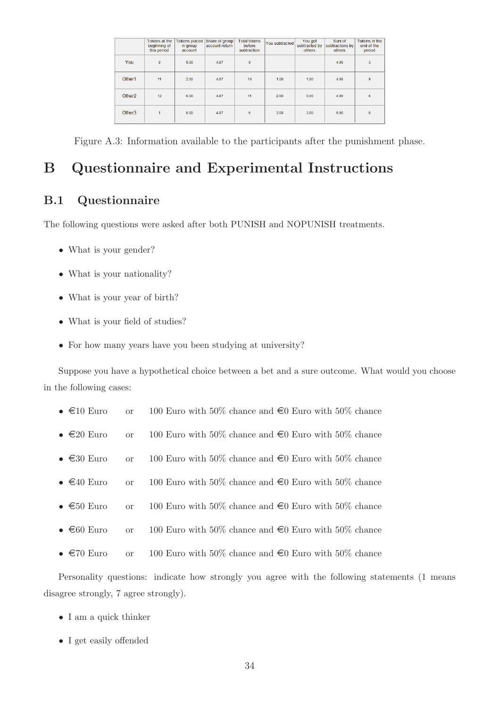|                    | Tokens at the<br>beginning of<br>this period | <b>Tokens placed</b><br>in group<br>account | Share of group<br>account return | <b>Total tokens</b><br>before<br>subtraction | You subtracted | You got<br>subtracted by<br>others | Sum of<br>subtractions by<br>others | Tokens in the<br>end of the<br>period |
|--------------------|----------------------------------------------|---------------------------------------------|----------------------------------|----------------------------------------------|----------------|------------------------------------|-------------------------------------|---------------------------------------|
| You                | 9                                            | 5.00                                        | 4.87                             | 9                                            |                |                                    | 4.00                                | 3                                     |
| Other1             | 11                                           | 2.00                                        | 4.87                             | 14                                           | 1.00           | 1.00                               | 4.00                                | 9                                     |
| Other <sub>2</sub> | 12                                           | 6.00                                        | 4.87                             | 11                                           | 2.00           | 0.00                               | 4.00                                | $6\phantom{1}$                        |
| Other <sub>3</sub> | 1                                            | 0.00                                        | 4.87                             | $6\phantom{1}$                               | 3.00           | 3.00                               | 6.00                                | $\mathbf{0}$                          |

Figure A.3: Information available to the participants after the punishment phase.

## B Questionnaire and Experimental Instructions

### B.1 Questionnaire

The following questions were asked after both PUNISH and NOPUNISH treatments.

- What is your gender?
- What is your nationality?
- What is your year of birth?
- What is your field of studies?
- For how many years have you been studying at university?

Suppose you have a hypothetical choice between a bet and a sure outcome. What would you choose in the following cases:

- $\in$ 10 Euro or 100 Euro with 50% chance and  $\in$ 0 Euro with 50% chance
- $\epsilon$ 20 Euro or 100 Euro with 50% chance and  $\epsilon$ 0 Euro with 50% chance
- $\epsilon$ 30 Euro or 100 Euro with 50% chance and  $\epsilon$ 0 Euro with 50% chance
- $\in$  40 Euro or 100 Euro with 50% chance and  $\in$ 0 Euro with 50% chance
- $\epsilon$ 50 Euro or 100 Euro with 50% chance and  $\epsilon$ 0 Euro with 50% chance
- $\epsilon$ 60 Euro or 100 Euro with 50% chance and  $\epsilon$ 0 Euro with 50% chance
- $\in$  70 Euro or 100 Euro with 50% chance and  $\in$ 0 Euro with 50% chance

Personality questions: indicate how strongly you agree with the following statements (1 means disagree strongly, 7 agree strongly).

- I am a quick thinker
- I get easily offended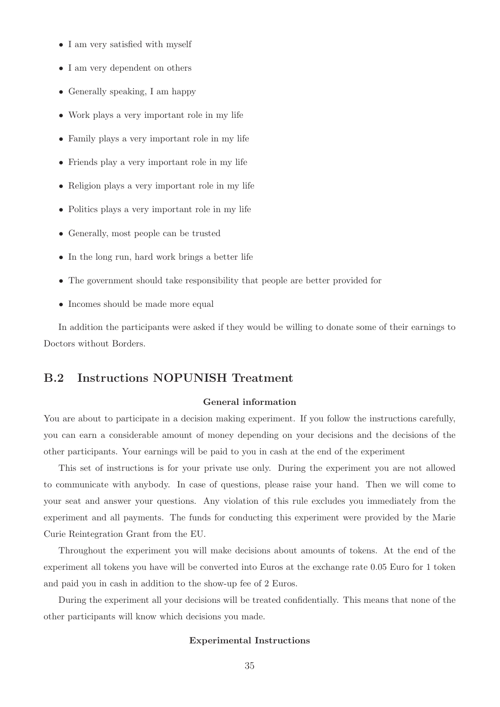- I am very satisfied with myself
- I am very dependent on others
- Generally speaking, I am happy
- Work plays a very important role in my life
- Family plays a very important role in my life
- Friends play a very important role in my life
- Religion plays a very important role in my life
- Politics plays a very important role in my life
- Generally, most people can be trusted
- In the long run, hard work brings a better life
- The government should take responsibility that people are better provided for
- Incomes should be made more equal

In addition the participants were asked if they would be willing to donate some of their earnings to Doctors without Borders.

### B.2 Instructions NOPUNISH Treatment

#### General information

You are about to participate in a decision making experiment. If you follow the instructions carefully, you can earn a considerable amount of money depending on your decisions and the decisions of the other participants. Your earnings will be paid to you in cash at the end of the experiment

This set of instructions is for your private use only. During the experiment you are not allowed to communicate with anybody. In case of questions, please raise your hand. Then we will come to your seat and answer your questions. Any violation of this rule excludes you immediately from the experiment and all payments. The funds for conducting this experiment were provided by the Marie Curie Reintegration Grant from the EU.

Throughout the experiment you will make decisions about amounts of tokens. At the end of the experiment all tokens you have will be converted into Euros at the exchange rate 0.05 Euro for 1 token and paid you in cash in addition to the show-up fee of 2 Euros.

During the experiment all your decisions will be treated confidentially. This means that none of the other participants will know which decisions you made.

#### Experimental Instructions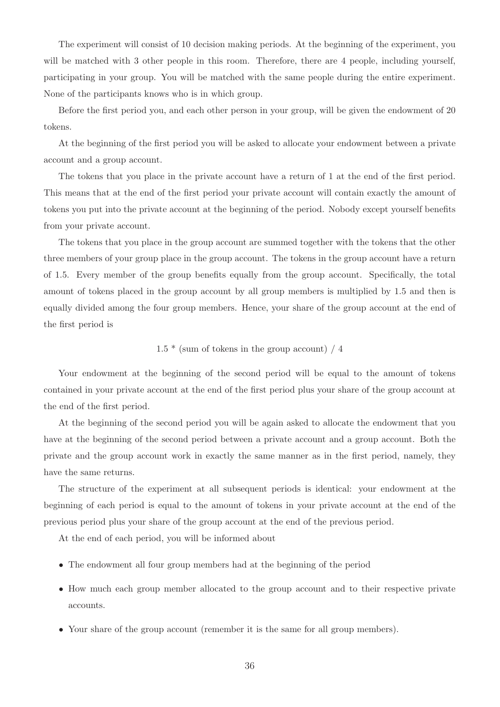The experiment will consist of 10 decision making periods. At the beginning of the experiment, you will be matched with 3 other people in this room. Therefore, there are 4 people, including yourself, participating in your group. You will be matched with the same people during the entire experiment. None of the participants knows who is in which group.

Before the first period you, and each other person in your group, will be given the endowment of 20 tokens.

At the beginning of the first period you will be asked to allocate your endowment between a private account and a group account.

The tokens that you place in the private account have a return of 1 at the end of the first period. This means that at the end of the first period your private account will contain exactly the amount of tokens you put into the private account at the beginning of the period. Nobody except yourself benefits from your private account.

The tokens that you place in the group account are summed together with the tokens that the other three members of your group place in the group account. The tokens in the group account have a return of 1.5. Every member of the group benefits equally from the group account. Specifically, the total amount of tokens placed in the group account by all group members is multiplied by 1.5 and then is equally divided among the four group members. Hence, your share of the group account at the end of the first period is

### $1.5 *$  (sum of tokens in the group account) / 4

Your endowment at the beginning of the second period will be equal to the amount of tokens contained in your private account at the end of the first period plus your share of the group account at the end of the first period.

At the beginning of the second period you will be again asked to allocate the endowment that you have at the beginning of the second period between a private account and a group account. Both the private and the group account work in exactly the same manner as in the first period, namely, they have the same returns.

The structure of the experiment at all subsequent periods is identical: your endowment at the beginning of each period is equal to the amount of tokens in your private account at the end of the previous period plus your share of the group account at the end of the previous period.

At the end of each period, you will be informed about

- The endowment all four group members had at the beginning of the period
- How much each group member allocated to the group account and to their respective private accounts.
- Your share of the group account (remember it is the same for all group members).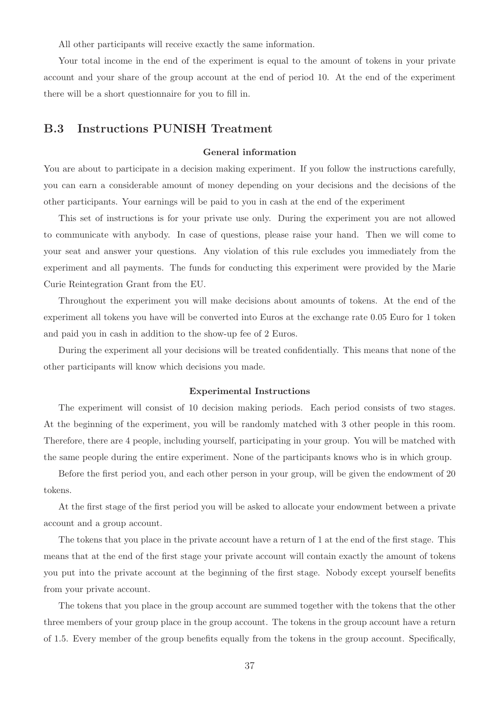All other participants will receive exactly the same information.

Your total income in the end of the experiment is equal to the amount of tokens in your private account and your share of the group account at the end of period 10. At the end of the experiment there will be a short questionnaire for you to fill in.

### B.3 Instructions PUNISH Treatment

#### General information

You are about to participate in a decision making experiment. If you follow the instructions carefully, you can earn a considerable amount of money depending on your decisions and the decisions of the other participants. Your earnings will be paid to you in cash at the end of the experiment

This set of instructions is for your private use only. During the experiment you are not allowed to communicate with anybody. In case of questions, please raise your hand. Then we will come to your seat and answer your questions. Any violation of this rule excludes you immediately from the experiment and all payments. The funds for conducting this experiment were provided by the Marie Curie Reintegration Grant from the EU.

Throughout the experiment you will make decisions about amounts of tokens. At the end of the experiment all tokens you have will be converted into Euros at the exchange rate 0.05 Euro for 1 token and paid you in cash in addition to the show-up fee of 2 Euros.

During the experiment all your decisions will be treated confidentially. This means that none of the other participants will know which decisions you made.

#### Experimental Instructions

The experiment will consist of 10 decision making periods. Each period consists of two stages. At the beginning of the experiment, you will be randomly matched with 3 other people in this room. Therefore, there are 4 people, including yourself, participating in your group. You will be matched with the same people during the entire experiment. None of the participants knows who is in which group.

Before the first period you, and each other person in your group, will be given the endowment of 20 tokens.

At the first stage of the first period you will be asked to allocate your endowment between a private account and a group account.

The tokens that you place in the private account have a return of 1 at the end of the first stage. This means that at the end of the first stage your private account will contain exactly the amount of tokens you put into the private account at the beginning of the first stage. Nobody except yourself benefits from your private account.

The tokens that you place in the group account are summed together with the tokens that the other three members of your group place in the group account. The tokens in the group account have a return of 1.5. Every member of the group benefits equally from the tokens in the group account. Specifically,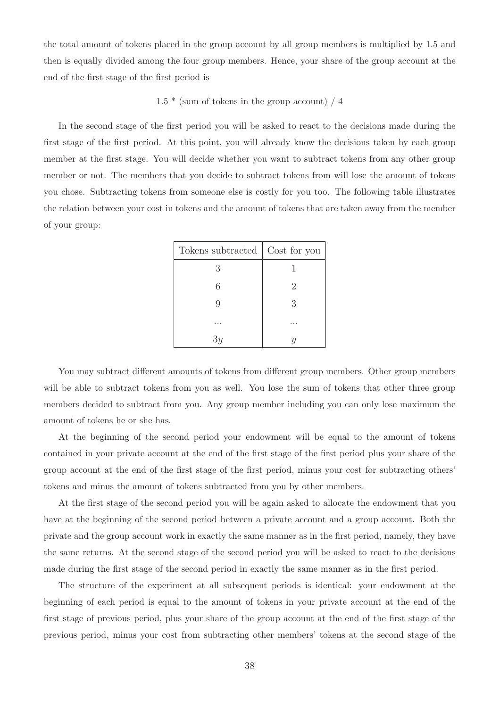the total amount of tokens placed in the group account by all group members is multiplied by 1.5 and then is equally divided among the four group members. Hence, your share of the group account at the end of the first stage of the first period is

#### $1.5 *$  (sum of tokens in the group account) / 4

In the second stage of the first period you will be asked to react to the decisions made during the first stage of the first period. At this point, you will already know the decisions taken by each group member at the first stage. You will decide whether you want to subtract tokens from any other group member or not. The members that you decide to subtract tokens from will lose the amount of tokens you chose. Subtracting tokens from someone else is costly for you too. The following table illustrates the relation between your cost in tokens and the amount of tokens that are taken away from the member of your group:

| Tokens subtracted   Cost for you |   |
|----------------------------------|---|
| 3                                |   |
| 6                                | 2 |
| 9                                | 3 |
|                                  |   |
|                                  |   |

You may subtract different amounts of tokens from different group members. Other group members will be able to subtract tokens from you as well. You lose the sum of tokens that other three group members decided to subtract from you. Any group member including you can only lose maximum the amount of tokens he or she has.

At the beginning of the second period your endowment will be equal to the amount of tokens contained in your private account at the end of the first stage of the first period plus your share of the group account at the end of the first stage of the first period, minus your cost for subtracting others' tokens and minus the amount of tokens subtracted from you by other members.

At the first stage of the second period you will be again asked to allocate the endowment that you have at the beginning of the second period between a private account and a group account. Both the private and the group account work in exactly the same manner as in the first period, namely, they have the same returns. At the second stage of the second period you will be asked to react to the decisions made during the first stage of the second period in exactly the same manner as in the first period.

The structure of the experiment at all subsequent periods is identical: your endowment at the beginning of each period is equal to the amount of tokens in your private account at the end of the first stage of previous period, plus your share of the group account at the end of the first stage of the previous period, minus your cost from subtracting other members' tokens at the second stage of the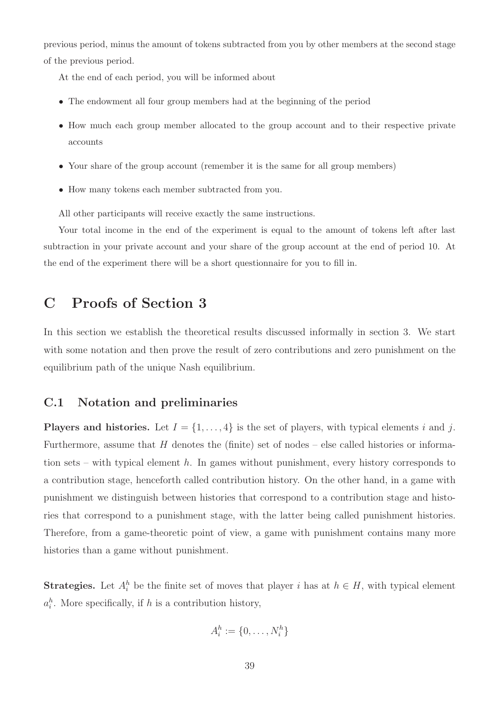previous period, minus the amount of tokens subtracted from you by other members at the second stage of the previous period.

At the end of each period, you will be informed about

- The endowment all four group members had at the beginning of the period
- How much each group member allocated to the group account and to their respective private accounts
- Your share of the group account (remember it is the same for all group members)
- How many tokens each member subtracted from you.

All other participants will receive exactly the same instructions.

Your total income in the end of the experiment is equal to the amount of tokens left after last subtraction in your private account and your share of the group account at the end of period 10. At the end of the experiment there will be a short questionnaire for you to fill in.

### C Proofs of Section 3

In this section we establish the theoretical results discussed informally in section 3. We start with some notation and then prove the result of zero contributions and zero punishment on the equilibrium path of the unique Nash equilibrium.

### C.1 Notation and preliminaries

**Players and histories.** Let  $I = \{1, \ldots, 4\}$  is the set of players, with typical elements i and j. Furthermore, assume that  $H$  denotes the (finite) set of nodes – else called histories or information sets – with typical element  $h$ . In games without punishment, every history corresponds to a contribution stage, henceforth called contribution history. On the other hand, in a game with punishment we distinguish between histories that correspond to a contribution stage and histories that correspond to a punishment stage, with the latter being called punishment histories. Therefore, from a game-theoretic point of view, a game with punishment contains many more histories than a game without punishment.

**Strategies.** Let  $A_i^h$  be the finite set of moves that player i has at  $h \in H$ , with typical element  $a_i^h$ . More specifically, if h is a contribution history,

$$
A_i^h := \{0, \ldots, N_i^h\}
$$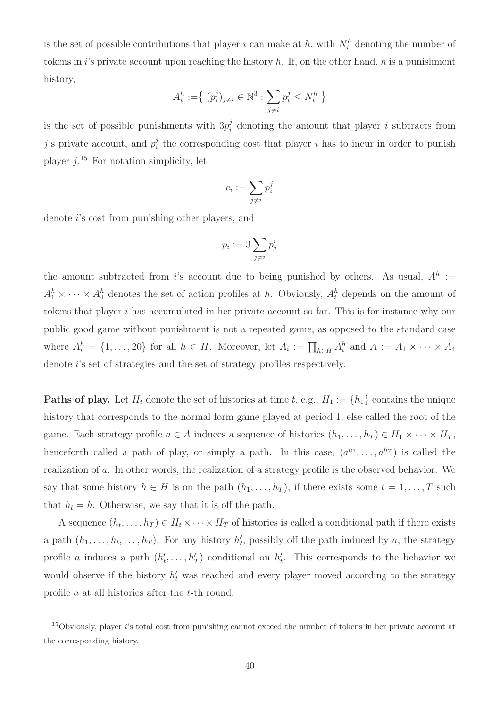is the set of possible contributions that player i can make at h, with  $N_i^h$  denoting the number of tokens in i's private account upon reaching the history  $h$ . If, on the other hand,  $h$  is a punishment history,

$$
A_i^h := \{ (p_i^j)_{j \neq i} \in \mathbb{N}^3 : \sum_{j \neq i} p_i^j \leq N_i^h \}
$$

is the set of possible punishments with  $3p_i^j$  denoting the amount that player i subtracts from j's private account, and  $p_i^j$  $i<sub>i</sub>$  the corresponding cost that player i has to incur in order to punish player  $j$ <sup>15</sup> For notation simplicity, let

$$
c_i:=\sum_{j\neq i}p_i^j
$$

denote i's cost from punishing other players, and

$$
p_i := 3 \sum_{j \neq i} p_j^i
$$

the amount subtracted from is account due to being punished by others. As usual,  $A^h :=$  $A_1^h \times \cdots \times A_4^h$  denotes the set of action profiles at h. Obviously,  $A_i^h$  depends on the amount of tokens that player i has accumulated in her private account so far. This is for instance why our public good game without punishment is not a repeated game, as opposed to the standard case where  $A_i^h = \{1, \ldots, 20\}$  for all  $h \in H$ . Moreover, let  $A_i := \prod_{h \in H} A_i^h$  and  $A := A_1 \times \cdots \times A_4$ denote *i*'s set of strategies and the set of strategy profiles respectively.

**Paths of play.** Let  $H_t$  denote the set of histories at time t, e.g.,  $H_1 := \{h_1\}$  contains the unique history that corresponds to the normal form game played at period 1, else called the root of the game. Each strategy profile  $a \in A$  induces a sequence of histories  $(h_1, \ldots, h_T) \in H_1 \times \cdots \times H_T$ , henceforth called a path of play, or simply a path. In this case,  $(a^{h_1}, \ldots, a^{h_T})$  is called the realization of a. In other words, the realization of a strategy profile is the observed behavior. We say that some history  $h \in H$  is on the path  $(h_1, \ldots, h_T)$ , if there exists some  $t = 1, \ldots, T$  such that  $h_t = h$ . Otherwise, we say that it is off the path.

A sequence  $(h_t, \ldots, h_T) \in H_t \times \cdots \times H_T$  of histories is called a conditional path if there exists a path  $(h_1, \ldots, h_t, \ldots, h_T)$ . For any history  $h'_t$ , possibly off the path induced by a, the strategy profile a induces a path  $(h'_t, \ldots, h'_T)$  conditional on  $h'_t$ . This corresponds to the behavior we would observe if the history  $h'_t$  was reached and every player moved according to the strategy profile a at all histories after the t-th round.

<sup>15</sup>Obviously, player i's total cost from punishing cannot exceed the number of tokens in her private account at the corresponding history.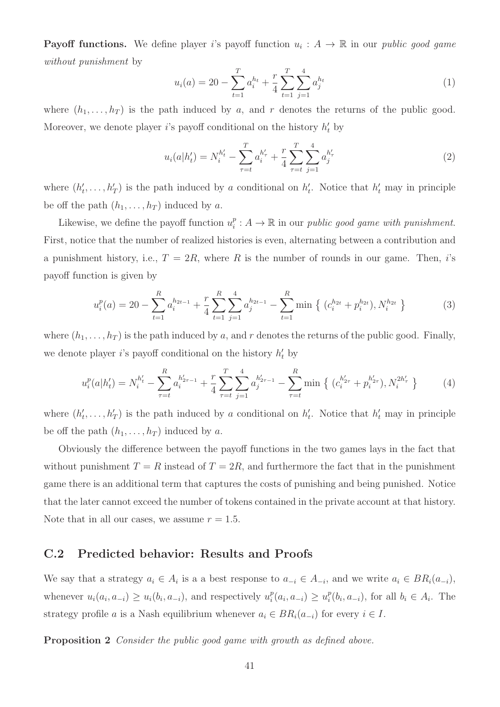**Payoff functions.** We define player i's payoff function  $u_i : A \to \mathbb{R}$  in our *public good game* without punishment by

$$
u_i(a) = 20 - \sum_{t=1}^T a_i^{h_t} + \frac{r}{4} \sum_{t=1}^T \sum_{j=1}^4 a_j^{h_t}
$$
 (1)

where  $(h_1, \ldots, h_T)$  is the path induced by a, and r denotes the returns of the public good. Moreover, we denote player *i*'s payoff conditional on the history  $h'_t$  by

$$
u_i(a|h'_t) = N_i^{h'_t} - \sum_{\tau=t}^T a_i^{h'_\tau} + \frac{r}{4} \sum_{\tau=t}^T \sum_{j=1}^4 a_j^{h'_\tau}
$$
 (2)

where  $(h'_t, \ldots, h'_T)$  is the path induced by a conditional on  $h'_t$ . Notice that  $h'_t$  may in principle be off the path  $(h_1, \ldots, h_T)$  induced by a.

Likewise, we define the payoff function  $u_i^p$  $i : A \to \mathbb{R}$  in our *public good game with punishment*. First, notice that the number of realized histories is even, alternating between a contribution and a punishment history, i.e.,  $T = 2R$ , where R is the number of rounds in our game. Then, i's payoff function is given by

$$
u_i^p(a) = 20 - \sum_{t=1}^R a_i^{h_{2t-1}} + \frac{r}{4} \sum_{t=1}^R \sum_{j=1}^4 a_j^{h_{2t-1}} - \sum_{t=1}^R \min \left\{ (c_i^{h_{2t}} + p_i^{h_{2t}}), N_i^{h_{2t}} \right\}
$$
(3)

where  $(h_1, \ldots, h_T)$  is the path induced by a, and r denotes the returns of the public good. Finally, we denote player *i*'s payoff conditional on the history  $h'_t$  by

$$
u_i^p(a|h'_t) = N_i^{h'_t} - \sum_{\tau=t}^R a_i^{h'_{2\tau-1}} + \frac{r}{4} \sum_{\tau=t}^T \sum_{j=1}^4 a_j^{h'_{2\tau-1}} - \sum_{\tau=t}^R \min \left\{ (c_i^{h'_{2\tau}} + p_i^{h'_{2\tau}}), N_i^{2h'_{\tau}} \right\}
$$
 (4)

where  $(h'_t, \ldots, h'_T)$  is the path induced by a conditional on  $h'_t$ . Notice that  $h'_t$  may in principle be off the path  $(h_1, \ldots, h_T)$  induced by a.

Obviously the difference between the payoff functions in the two games lays in the fact that without punishment  $T = R$  instead of  $T = 2R$ , and furthermore the fact that in the punishment game there is an additional term that captures the costs of punishing and being punished. Notice that the later cannot exceed the number of tokens contained in the private account at that history. Note that in all our cases, we assume  $r = 1.5$ .

### C.2 Predicted behavior: Results and Proofs

We say that a strategy  $a_i \in A_i$  is a a best response to  $a_{-i} \in A_{-i}$ , and we write  $a_i \in BR_i(a_{-i}),$ whenever  $u_i(a_i, a_{-i}) \geq u_i(b_i, a_{-i})$ , and respectively  $u_i^p$  $i^p(a_i, a_{-i}) \geq u_i^p$  $i^p(b_i, a_{-i}),$  for all  $b_i \in A_i$ . The strategy profile a is a Nash equilibrium whenever  $a_i \in BR_i(a_{-i})$  for every  $i \in I$ .

Proposition 2 Consider the public good game with growth as defined above.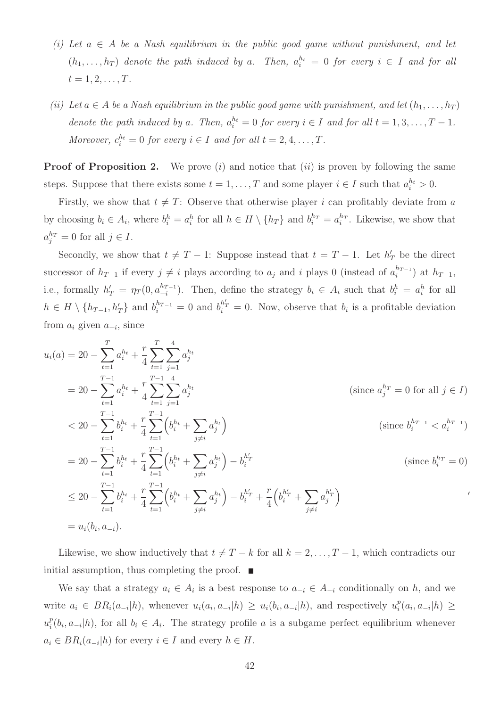- (i) Let  $a \in A$  be a Nash equilibrium in the public good game without punishment, and let  $(h_1, \ldots, h_T)$  denote the path induced by a. Then,  $a_i^{h_t} = 0$  for every  $i \in I$  and for all  $t = 1, 2, \ldots, T$ .
- (ii) Let  $a \in A$  be a Nash equilibrium in the public good game with punishment, and let  $(h_1, \ldots, h_T)$ denote the path induced by a. Then,  $a_i^{h_t} = 0$  for every  $i \in I$  and for all  $t = 1, 3, ..., T - 1$ . Moreover,  $c_i^{h_t} = 0$  for every  $i \in I$  and for all  $t = 2, 4, ..., T$ .

**Proof of Proposition 2.** We prove  $(i)$  and notice that  $(ii)$  is proven by following the same steps. Suppose that there exists some  $t = 1, ..., T$  and some player  $i \in I$  such that  $a_i^{h_i} > 0$ .

Firstly, we show that  $t \neq T$ : Observe that otherwise player i can profitably deviate from a by choosing  $b_i \in A_i$ , where  $b_i^h = a_i^h$  for all  $h \in H \setminus \{h_T\}$  and  $b_i^{h_T} = a_i^{h_T}$ . Likewise, we show that  $a_j^{h_T} = 0$  for all  $j \in I$ .

Secondly, we show that  $t \neq T - 1$ : Suppose instead that  $t = T - 1$ . Let  $h'_T$  be the direct successor of  $h_{T-1}$  if every  $j \neq i$  plays according to  $a_j$  and i plays 0 (instead of  $a_i^{h_{T-1}}$  $\binom{n_{T-1}}{i}$  at  $h_{T-1}$ , i.e., formally  $h'_T = \eta_T(0, a_{-i}^{h_{T-1}})$  $\binom{h_{T-1}}{-i}$ . Then, define the strategy  $b_i \in A_i$  such that  $b_i^h = a_i^h$  for all  $h \in H \setminus \{h_{T-1}, h'_T\}$  and  $b_i^{h_{T-1}} = 0$  and  $b_i^{h'_T} = 0$ . Now, observe that  $b_i$  is a profitable deviation from  $a_i$  given  $a_{-i}$ , since

$$
u_i(a) = 20 - \sum_{t=1}^T a_i^{h_t} + \frac{r}{4} \sum_{t=1}^T \sum_{j=1}^4 a_j^{h_t}
$$
  
\n
$$
= 20 - \sum_{t=1}^{T-1} a_i^{h_t} + \frac{r}{4} \sum_{t=1}^{T-1} \sum_{j=1}^4 a_j^{h_t}
$$
 (since  $a_j^{h_T} = 0$  for all  $j \in I$ )  
\n
$$
< 20 - \sum_{t=1}^{T-1} b_i^{h_t} + \frac{r}{4} \sum_{t=1}^{T-1} \left( b_i^{h_t} + \sum_{j \neq i} a_j^{h_t} \right)
$$
 (since  $b_i^{h_{T-1}} < a_i^{h_{T-1}}$ )  
\n
$$
= 20 - \sum_{t=1}^{T-1} b_i^{h_t} + \frac{r}{4} \sum_{t=1}^{T-1} \left( b_i^{h_t} + \sum_{j \neq i} a_j^{h_t} \right) - b_i^{h_T}
$$
 (since  $b_i^{h_T} = 0$ )  
\n
$$
\leq 20 - \sum_{t=1}^{T-1} b_i^{h_t} + \frac{r}{4} \sum_{t=1}^{T-1} \left( b_i^{h_t} + \sum_{j \neq i} a_j^{h_t} \right) - b_i^{h_T} + \frac{r}{4} \left( b_i^{h_T} + \sum_{j \neq i} a_j^{h_T} \right)
$$
  
\n
$$
= u_i(b_i, a_{-i}).
$$

Likewise, we show inductively that  $t \neq T - k$  for all  $k = 2, \ldots, T - 1$ , which contradicts our initial assumption, thus completing the proof.  $\blacksquare$ 

We say that a strategy  $a_i \in A_i$  is a best response to  $a_{-i} \in A_{-i}$  conditionally on h, and we write  $a_i \in BR_i(a_{-i}|h)$ , whenever  $u_i(a_i, a_{-i}|h) \geq u_i(b_i, a_{-i}|h)$ , and respectively  $u_i^p$  $i^p(a_i, a_{-i}|h) \geq$  $u_i^p$  $e_i^p(b_i, a_{-i}|h)$ , for all  $b_i \in A_i$ . The strategy profile a is a subgame perfect equilibrium whenever  $a_i \in BR_i(a_{-i}|h)$  for every  $i \in I$  and every  $h \in H$ .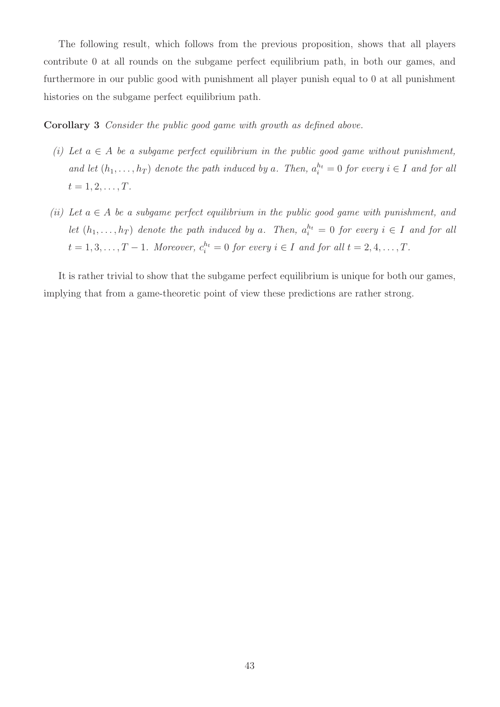The following result, which follows from the previous proposition, shows that all players contribute 0 at all rounds on the subgame perfect equilibrium path, in both our games, and furthermore in our public good with punishment all player punish equal to 0 at all punishment histories on the subgame perfect equilibrium path.

Corollary 3 Consider the public good game with growth as defined above.

- (i) Let  $a \in A$  be a subgame perfect equilibrium in the public good game without punishment, and let  $(h_1, \ldots, h_T)$  denote the path induced by a. Then,  $a_i^{h_t} = 0$  for every  $i \in I$  and for all  $t = 1, 2, \ldots, T$ .
- (ii) Let  $a \in A$  be a subgame perfect equilibrium in the public good game with punishment, and let  $(h_1, \ldots, h_T)$  denote the path induced by a. Then,  $a_i^{h_t} = 0$  for every  $i \in I$  and for all  $t = 1, 3, \ldots, T - 1$ . Moreover,  $c_i^{h_t} = 0$  for every  $i \in I$  and for all  $t = 2, 4, \ldots, T$ .

It is rather trivial to show that the subgame perfect equilibrium is unique for both our games, implying that from a game-theoretic point of view these predictions are rather strong.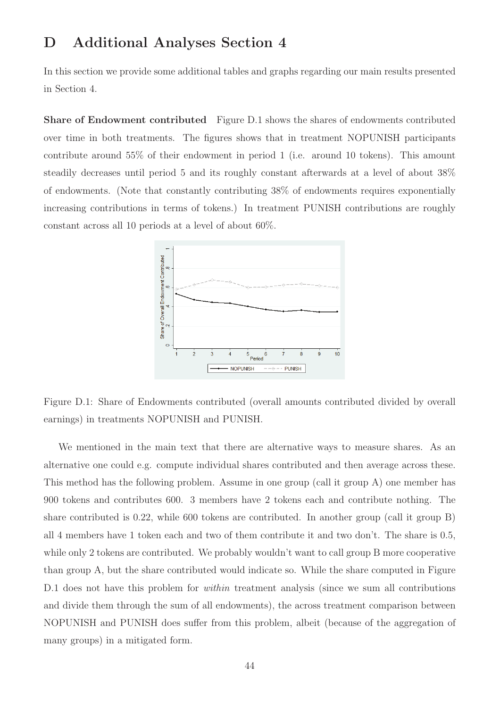## D Additional Analyses Section 4

In this section we provide some additional tables and graphs regarding our main results presented in Section 4.

Share of Endowment contributed Figure D.1 shows the shares of endowments contributed over time in both treatments. The figures shows that in treatment NOPUNISH participants contribute around 55% of their endowment in period 1 (i.e. around 10 tokens). This amount steadily decreases until period 5 and its roughly constant afterwards at a level of about 38% of endowments. (Note that constantly contributing 38% of endowments requires exponentially increasing contributions in terms of tokens.) In treatment PUNISH contributions are roughly constant across all 10 periods at a level of about 60%.



Figure D.1: Share of Endowments contributed (overall amounts contributed divided by overall earnings) in treatments NOPUNISH and PUNISH.

We mentioned in the main text that there are alternative ways to measure shares. As an alternative one could e.g. compute individual shares contributed and then average across these. This method has the following problem. Assume in one group (call it group A) one member has 900 tokens and contributes 600. 3 members have 2 tokens each and contribute nothing. The share contributed is 0.22, while 600 tokens are contributed. In another group (call it group B) all 4 members have 1 token each and two of them contribute it and two don't. The share is 0.5, while only 2 tokens are contributed. We probably wouldn't want to call group B more cooperative than group A, but the share contributed would indicate so. While the share computed in Figure D.1 does not have this problem for *within* treatment analysis (since we sum all contributions and divide them through the sum of all endowments), the across treatment comparison between NOPUNISH and PUNISH does suffer from this problem, albeit (because of the aggregation of many groups) in a mitigated form.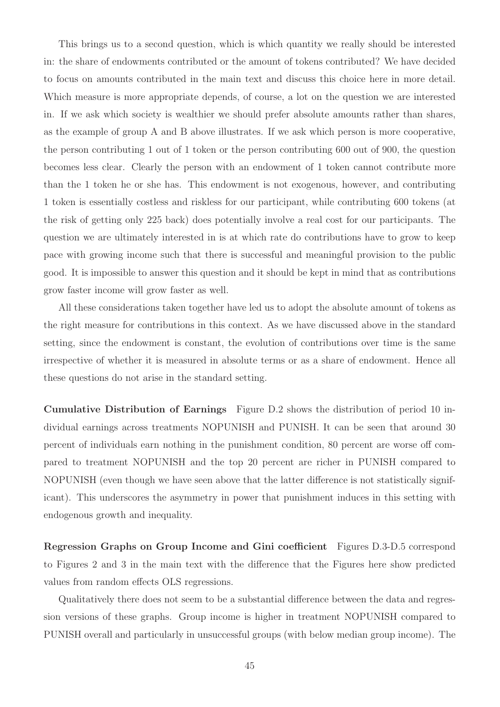This brings us to a second question, which is which quantity we really should be interested in: the share of endowments contributed or the amount of tokens contributed? We have decided to focus on amounts contributed in the main text and discuss this choice here in more detail. Which measure is more appropriate depends, of course, a lot on the question we are interested in. If we ask which society is wealthier we should prefer absolute amounts rather than shares, as the example of group A and B above illustrates. If we ask which person is more cooperative, the person contributing 1 out of 1 token or the person contributing 600 out of 900, the question becomes less clear. Clearly the person with an endowment of 1 token cannot contribute more than the 1 token he or she has. This endowment is not exogenous, however, and contributing 1 token is essentially costless and riskless for our participant, while contributing 600 tokens (at the risk of getting only 225 back) does potentially involve a real cost for our participants. The question we are ultimately interested in is at which rate do contributions have to grow to keep pace with growing income such that there is successful and meaningful provision to the public good. It is impossible to answer this question and it should be kept in mind that as contributions grow faster income will grow faster as well.

All these considerations taken together have led us to adopt the absolute amount of tokens as the right measure for contributions in this context. As we have discussed above in the standard setting, since the endowment is constant, the evolution of contributions over time is the same irrespective of whether it is measured in absolute terms or as a share of endowment. Hence all these questions do not arise in the standard setting.

Cumulative Distribution of Earnings Figure D.2 shows the distribution of period 10 individual earnings across treatments NOPUNISH and PUNISH. It can be seen that around 30 percent of individuals earn nothing in the punishment condition, 80 percent are worse off compared to treatment NOPUNISH and the top 20 percent are richer in PUNISH compared to NOPUNISH (even though we have seen above that the latter difference is not statistically significant). This underscores the asymmetry in power that punishment induces in this setting with endogenous growth and inequality.

Regression Graphs on Group Income and Gini coefficient Figures D.3-D.5 correspond to Figures 2 and 3 in the main text with the difference that the Figures here show predicted values from random effects OLS regressions.

Qualitatively there does not seem to be a substantial difference between the data and regression versions of these graphs. Group income is higher in treatment NOPUNISH compared to PUNISH overall and particularly in unsuccessful groups (with below median group income). The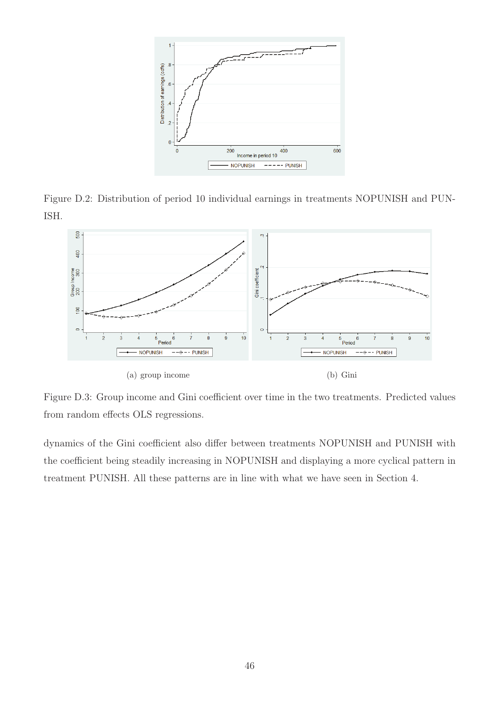

Figure D.2: Distribution of period 10 individual earnings in treatments NOPUNISH and PUN-ISH.



Figure D.3: Group income and Gini coefficient over time in the two treatments. Predicted values from random effects OLS regressions.

dynamics of the Gini coefficient also differ between treatments NOPUNISH and PUNISH with the coefficient being steadily increasing in NOPUNISH and displaying a more cyclical pattern in treatment PUNISH. All these patterns are in line with what we have seen in Section 4.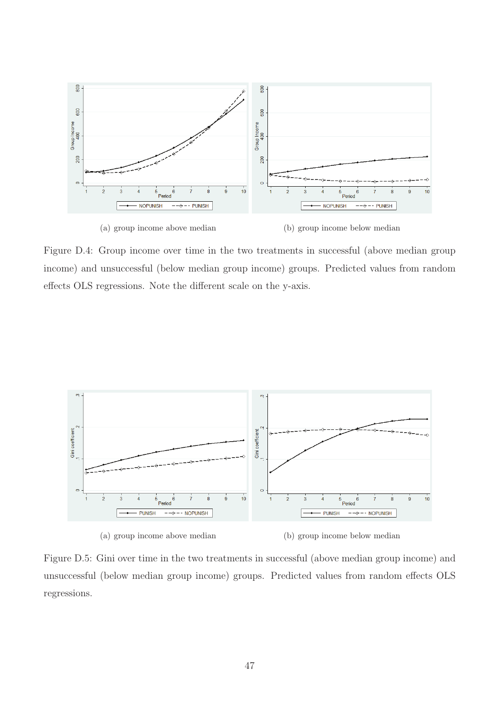

Figure D.4: Group income over time in the two treatments in successful (above median group income) and unsuccessful (below median group income) groups. Predicted values from random effects OLS regressions. Note the different scale on the y-axis.



(a) group income above median (b) group income below median

Figure D.5: Gini over time in the two treatments in successful (above median group income) and unsuccessful (below median group income) groups. Predicted values from random effects OLS regressions.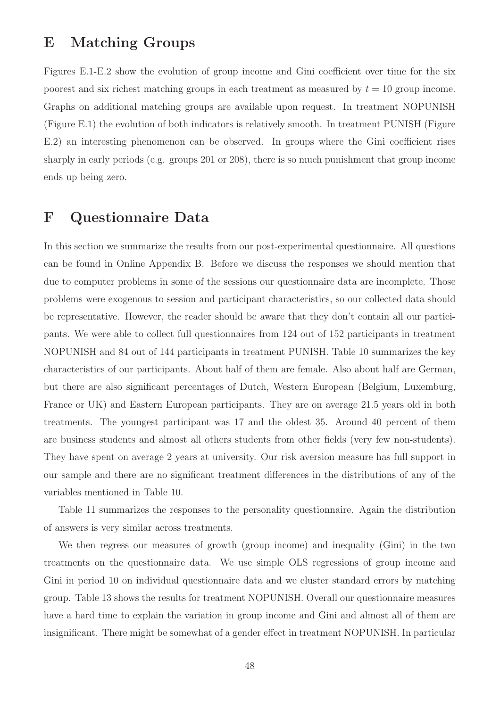## E Matching Groups

Figures E.1-E.2 show the evolution of group income and Gini coefficient over time for the six poorest and six richest matching groups in each treatment as measured by  $t = 10$  group income. Graphs on additional matching groups are available upon request. In treatment NOPUNISH (Figure E.1) the evolution of both indicators is relatively smooth. In treatment PUNISH (Figure E.2) an interesting phenomenon can be observed. In groups where the Gini coefficient rises sharply in early periods (e.g. groups 201 or 208), there is so much punishment that group income ends up being zero.

## F Questionnaire Data

In this section we summarize the results from our post-experimental questionnaire. All questions can be found in Online Appendix B. Before we discuss the responses we should mention that due to computer problems in some of the sessions our questionnaire data are incomplete. Those problems were exogenous to session and participant characteristics, so our collected data should be representative. However, the reader should be aware that they don't contain all our participants. We were able to collect full questionnaires from 124 out of 152 participants in treatment NOPUNISH and 84 out of 144 participants in treatment PUNISH. Table 10 summarizes the key characteristics of our participants. About half of them are female. Also about half are German, but there are also significant percentages of Dutch, Western European (Belgium, Luxemburg, France or UK) and Eastern European participants. They are on average 21.5 years old in both treatments. The youngest participant was 17 and the oldest 35. Around 40 percent of them are business students and almost all others students from other fields (very few non-students). They have spent on average 2 years at university. Our risk aversion measure has full support in our sample and there are no significant treatment differences in the distributions of any of the variables mentioned in Table 10.

Table 11 summarizes the responses to the personality questionnaire. Again the distribution of answers is very similar across treatments.

We then regress our measures of growth (group income) and inequality (Gini) in the two treatments on the questionnaire data. We use simple OLS regressions of group income and Gini in period 10 on individual questionnaire data and we cluster standard errors by matching group. Table 13 shows the results for treatment NOPUNISH. Overall our questionnaire measures have a hard time to explain the variation in group income and Gini and almost all of them are insignificant. There might be somewhat of a gender effect in treatment NOPUNISH. In particular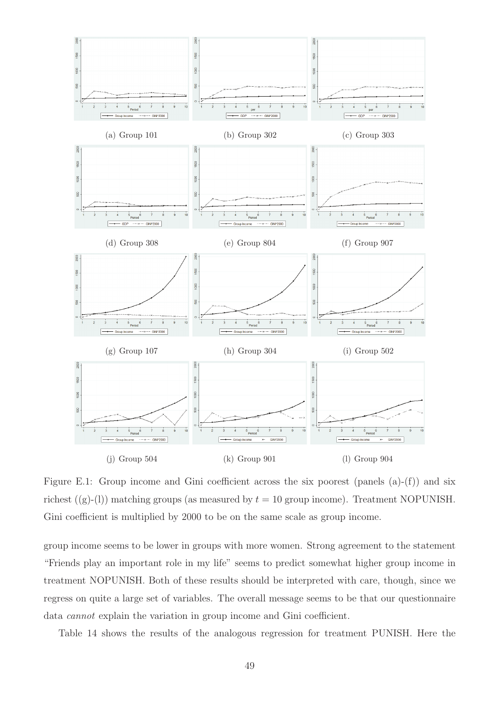

Figure E.1: Group income and Gini coefficient across the six poorest (panels (a)-(f)) and six richest  $((g)-(l))$  matching groups (as measured by  $t = 10$  group income). Treatment NOPUNISH. Gini coefficient is multiplied by 2000 to be on the same scale as group income.

group income seems to be lower in groups with more women. Strong agreement to the statement "Friends play an important role in my life" seems to predict somewhat higher group income in treatment NOPUNISH. Both of these results should be interpreted with care, though, since we regress on quite a large set of variables. The overall message seems to be that our questionnaire data cannot explain the variation in group income and Gini coefficient.

Table 14 shows the results of the analogous regression for treatment PUNISH. Here the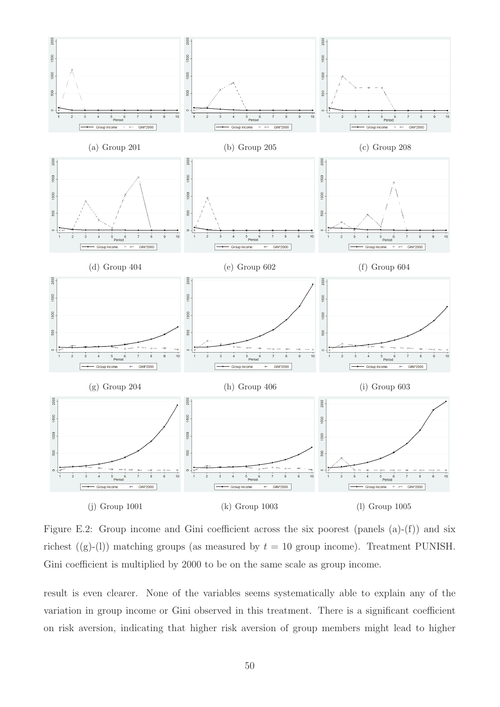

Figure E.2: Group income and Gini coefficient across the six poorest (panels (a)-(f)) and six richest ((g)-(l)) matching groups (as measured by  $t = 10$  group income). Treatment PUNISH. Gini coefficient is multiplied by 2000 to be on the same scale as group income.

result is even clearer. None of the variables seems systematically able to explain any of the variation in group income or Gini observed in this treatment. There is a significant coefficient on risk aversion, indicating that higher risk aversion of group members might lead to higher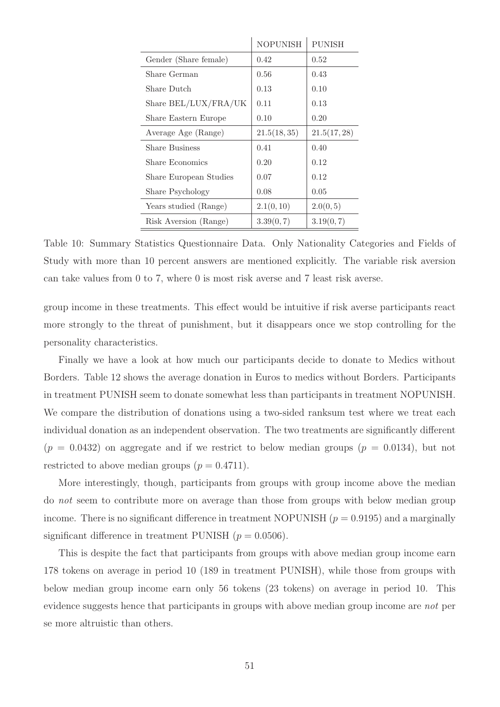|                        | <b>NOPUNISH</b> | <b>PUNISH</b> |
|------------------------|-----------------|---------------|
| Gender (Share female)  | 0.42            | 0.52          |
| Share German           | 0.56            | 0.43          |
| Share Dutch            | 0.13            | 0.10          |
| Share BEL/LUX/FRA/UK   | 0.11            | 0.13          |
| Share Eastern Europe   | 0.10            | 0.20          |
| Average Age (Range)    | 21.5(18,35)     | 21.5(17, 28)  |
| <b>Share Business</b>  | 0.41            | 0.40          |
| Share Economics        | 0.20            | 0.12          |
| Share European Studies | 0.07            | 0.12          |
| Share Psychology       | 0.08            | 0.05          |
| Years studied (Range)  | 2.1(0,10)       | 2.0(0,5)      |
| Risk Aversion (Range)  | 3.39(0,7)       | 3.19(0, 7)    |

Table 10: Summary Statistics Questionnaire Data. Only Nationality Categories and Fields of Study with more than 10 percent answers are mentioned explicitly. The variable risk aversion can take values from 0 to 7, where 0 is most risk averse and 7 least risk averse.

group income in these treatments. This effect would be intuitive if risk averse participants react more strongly to the threat of punishment, but it disappears once we stop controlling for the personality characteristics.

Finally we have a look at how much our participants decide to donate to Medics without Borders. Table 12 shows the average donation in Euros to medics without Borders. Participants in treatment PUNISH seem to donate somewhat less than participants in treatment NOPUNISH. We compare the distribution of donations using a two-sided ranksum test where we treat each individual donation as an independent observation. The two treatments are significantly different  $(p = 0.0432)$  on aggregate and if we restrict to below median groups  $(p = 0.0134)$ , but not restricted to above median groups  $(p = 0.4711)$ .

More interestingly, though, participants from groups with group income above the median do not seem to contribute more on average than those from groups with below median group income. There is no significant difference in treatment NOPUNISH  $(p = 0.9195)$  and a marginally significant difference in treatment PUNISH  $(p = 0.0506)$ .

This is despite the fact that participants from groups with above median group income earn 178 tokens on average in period 10 (189 in treatment PUNISH), while those from groups with below median group income earn only 56 tokens (23 tokens) on average in period 10. This evidence suggests hence that participants in groups with above median group income are not per se more altruistic than others.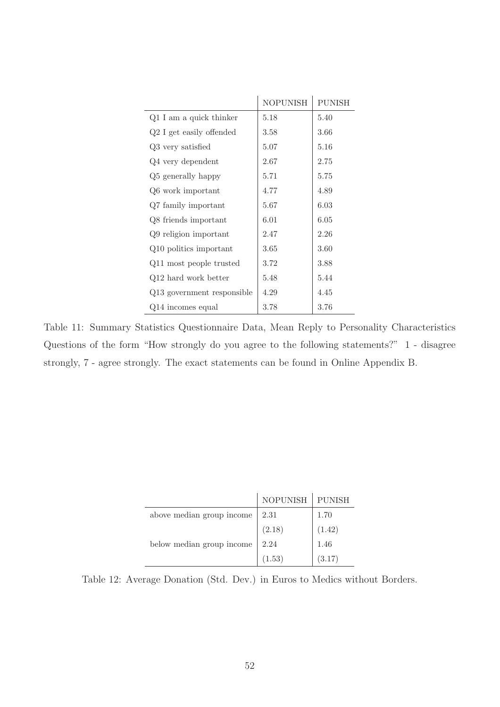|                            | <b>NOPUNISH</b> | <b>PUNISH</b> |
|----------------------------|-----------------|---------------|
| $Q1$ I am a quick thinker  | 5.18            | 5.40          |
| Q2 I get easily offended   | 3.58            | 3.66          |
| Q3 very satisfied          | 5.07            | 5.16          |
| Q4 very dependent          | 2.67            | 2.75          |
| Q5 generally happy         | 5.71            | 5.75          |
| Q6 work important          | 4.77            | 4.89          |
| Q7 family important        | 5.67            | 6.03          |
| Q8 friends important       | 6.01            | 6.05          |
| Q9 religion important      | 2.47            | 2.26          |
| Q10 politics important     | 3.65            | 3.60          |
| Q11 most people trusted    | 3.72            | 3.88          |
| Q12 hard work better       | 5.48            | 5.44          |
| Q13 government responsible | 4.29            | 4.45          |
| Q14 incomes equal          | 3.78            | 3.76          |

Table 11: Summary Statistics Questionnaire Data, Mean Reply to Personality Characteristics Questions of the form "How strongly do you agree to the following statements?" 1 - disagree strongly, 7 - agree strongly. The exact statements can be found in Online Appendix B.

|                           | NOPUNISH   PUNISH |        |
|---------------------------|-------------------|--------|
| above median group income | 2.31              | 1.70   |
|                           | (2.18)            | (1.42) |
| below median group income | 2.24              | 1.46   |
|                           | (1.53)            | (3.17) |

Table 12: Average Donation (Std. Dev.) in Euros to Medics without Borders.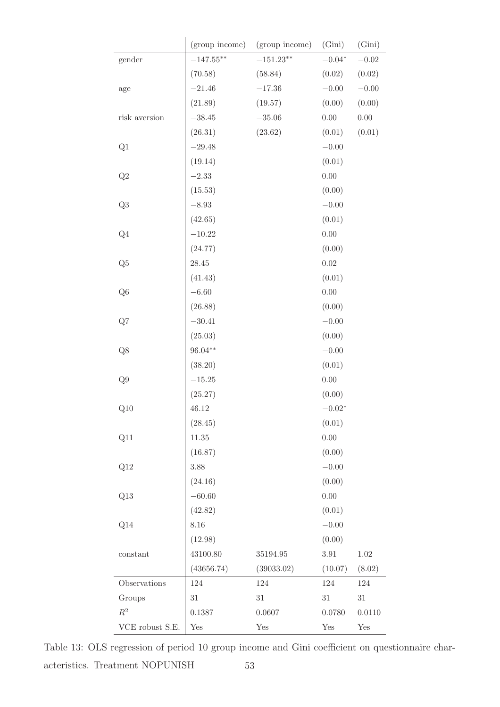|                 | (group income) | (group income) | (Gini)         | (Gini)   |
|-----------------|----------------|----------------|----------------|----------|
| gender          | $-147.55***$   | $-151.23**$    | $-0.04^{\ast}$ | $-0.02$  |
|                 | (70.58)        | (58.84)        | (0.02)         | (0.02)   |
| $\rm age$       | $-21.46$       | $-17.36$       | $-0.00$        | $-0.00$  |
|                 | (21.89)        | (19.57)        | (0.00)         | (0.00)   |
| risk aversion   | $-38.45$       | $-35.06$       | 0.00           | $0.00\,$ |
|                 | (26.31)        | (23.62)        | (0.01)         | (0.01)   |
| Q1              | $-29.48$       |                | $-0.00$        |          |
|                 | (19.14)        |                | (0.01)         |          |
| Q2              | $-2.33$        |                | 0.00           |          |
|                 | (15.53)        |                | (0.00)         |          |
| Q3              | $-8.93$        |                | $-0.00$        |          |
|                 | (42.65)        |                | (0.01)         |          |
| Q <sub>4</sub>  | $-10.22$       |                | 0.00           |          |
|                 | (24.77)        |                | (0.00)         |          |
| Q5              | $28.45\,$      |                | 0.02           |          |
|                 | (41.43)        |                | (0.01)         |          |
| Q <sub>6</sub>  | $-6.60$        |                | $0.00\,$       |          |
|                 | (26.88)        |                | (0.00)         |          |
| Q7              | $-30.41$       |                | $-0.00$        |          |
|                 | (25.03)        |                | (0.00)         |          |
| Q8              | $96.04**$      |                | $-0.00$        |          |
|                 | (38.20)        |                | (0.01)         |          |
| Q9              | $-15.25$       |                | 0.00           |          |
|                 | (25.27)        |                | (0.00)         |          |
| Q10             | 46.12          |                | $-0.02*$       |          |
|                 | (28.45)        |                | (0.01)         |          |
| Q11             | 11.35          |                | $0.00\,$       |          |
|                 | (16.87)        |                | (0.00)         |          |
| Q12             | $3.88\,$       |                | $-0.00$        |          |
|                 | (24.16)        |                | (0.00)         |          |
| Q13             | $-60.60$       |                | $0.00\,$       |          |
|                 | (42.82)        |                | (0.01)         |          |
| Q14             | 8.16           |                | $-0.00$        |          |
|                 | (12.98)        |                | (0.00)         |          |
| constant        | 43100.80       | 35194.95       | $3.91\,$       | $1.02\,$ |
|                 | (43656.74)     | (39033.02)     | (10.07)        | (8.02)   |
| Observations    | 124            | 124            | 124            | 124      |
| Groups          | $31\,$         | $31\,$         | $31\,$         | $31\,$   |
| $\mathbb{R}^2$  | 0.1387         | 0.0607         | 0.0780         | 0.0110   |
| VCE robust S.E. | Yes            | Yes            | Yes            | Yes      |

Table 13: OLS regression of period 10 group income and Gini coefficient on questionnaire characteristics. Treatment NOPUNISH 53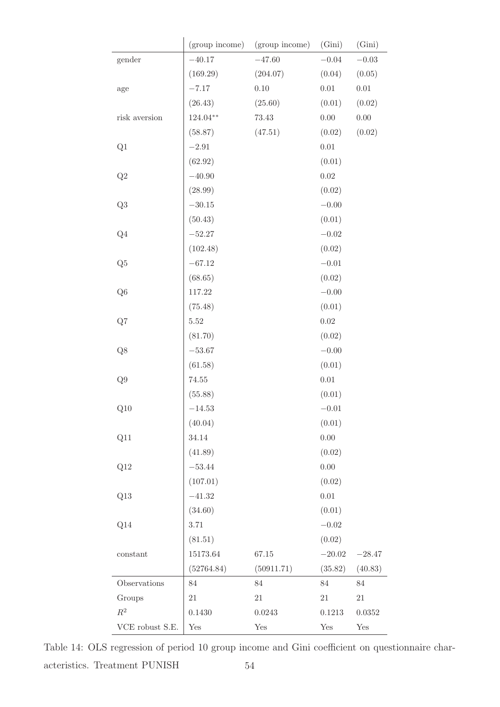|                 | (group income) | (group income) | (Gini)   | (Gini)   |
|-----------------|----------------|----------------|----------|----------|
| gender          | $-40.17$       | $-47.60$       | $-0.04$  | $-0.03$  |
|                 | (169.29)       | (204.07)       | (0.04)   | (0.05)   |
| age             | $-7.17$        | 0.10           | $0.01\,$ | 0.01     |
|                 | (26.43)        | (25.60)        | (0.01)   | (0.02)   |
| risk aversion   | $124.04**$     | $73.43\,$      | 0.00     | $0.00\,$ |
|                 | (58.87)        | (47.51)        | (0.02)   | (0.02)   |
| Q1              | $-2.91$        |                | $0.01\,$ |          |
|                 | (62.92)        |                | (0.01)   |          |
| Q2              | $-40.90$       |                | $0.02\,$ |          |
|                 | (28.99)        |                | (0.02)   |          |
| Q3              | $-30.15$       |                | $-0.00$  |          |
|                 | (50.43)        |                | (0.01)   |          |
| Q <sub>4</sub>  | $-52.27$       |                | $-0.02$  |          |
|                 | (102.48)       |                | (0.02)   |          |
| Q5              | $-67.12$       |                | $-0.01$  |          |
|                 | (68.65)        |                | (0.02)   |          |
| Q <sub>6</sub>  | 117.22         |                | $-0.00$  |          |
|                 | (75.48)        |                | (0.01)   |          |
| Q7              | $5.52\,$       |                | 0.02     |          |
|                 | (81.70)        |                | (0.02)   |          |
| $\mathrm{Q}8$   | $-53.67$       |                | $-0.00$  |          |
|                 | (61.58)        |                | (0.01)   |          |
| ${\rm Q}9$      | $74.55\,$      |                | 0.01     |          |
|                 | (55.88)        |                | (0.01)   |          |
| Q10             | $-14.53$       |                | $-0.01$  |          |
|                 | (40.04)        |                | (0.01)   |          |
| Q11             | 34.14          |                | 0.00     |          |
|                 | (41.89)        |                | (0.02)   |          |
| Q12             | $-53.44$       |                | 0.00     |          |
|                 | (107.01)       |                | (0.02)   |          |
| Q13             | $-41.32$       |                | $0.01\,$ |          |
|                 | (34.60)        |                | (0.01)   |          |
| Q14             | $3.71\,$       |                | $-0.02$  |          |
|                 | (81.51)        |                | (0.02)   |          |
| constant        | 15173.64       | 67.15          | $-20.02$ | $-28.47$ |
|                 | (52764.84)     | (50911.71)     | (35.82)  | (40.83)  |
| Observations    | $84\,$         | 84             | 84       | 84       |
| Groups          | 21             | 21             | 21       | $21\,$   |
| $\mathbb{R}^2$  | 0.1430         | 0.0243         | 0.1213   | 0.0352   |
| VCE robust S.E. | Yes            | Yes            | Yes      | Yes      |

Table 14: OLS regression of period 10 group income and Gini coefficient on questionnaire characteristics. Treatment PUNISH  $54$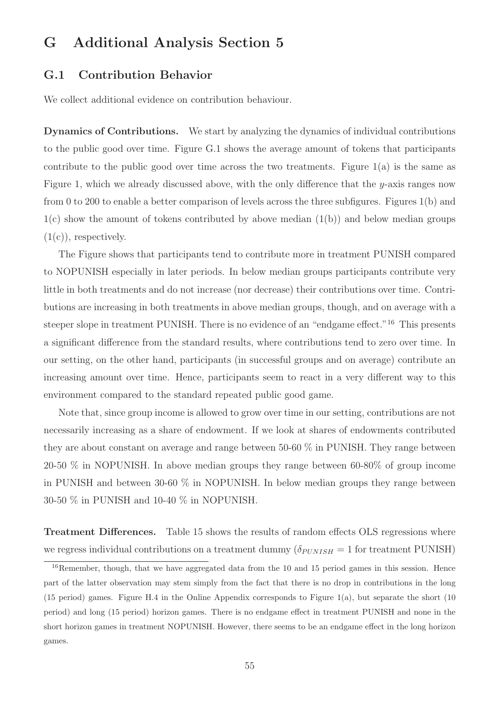## G Additional Analysis Section 5

### G.1 Contribution Behavior

We collect additional evidence on contribution behaviour.

Dynamics of Contributions. We start by analyzing the dynamics of individual contributions to the public good over time. Figure G.1 shows the average amount of tokens that participants contribute to the public good over time across the two treatments. Figure  $1(a)$  is the same as Figure 1, which we already discussed above, with the only difference that the  $y$ -axis ranges now from 0 to 200 to enable a better comparison of levels across the three subfigures. Figures 1(b) and  $1(c)$  show the amount of tokens contributed by above median  $(1(b))$  and below median groups  $(1(c))$ , respectively.

The Figure shows that participants tend to contribute more in treatment PUNISH compared to NOPUNISH especially in later periods. In below median groups participants contribute very little in both treatments and do not increase (nor decrease) their contributions over time. Contributions are increasing in both treatments in above median groups, though, and on average with a steeper slope in treatment PUNISH. There is no evidence of an "endgame effect."<sup>16</sup> This presents a significant difference from the standard results, where contributions tend to zero over time. In our setting, on the other hand, participants (in successful groups and on average) contribute an increasing amount over time. Hence, participants seem to react in a very different way to this environment compared to the standard repeated public good game.

Note that, since group income is allowed to grow over time in our setting, contributions are not necessarily increasing as a share of endowment. If we look at shares of endowments contributed they are about constant on average and range between 50-60 % in PUNISH. They range between 20-50 % in NOPUNISH. In above median groups they range between 60-80% of group income in PUNISH and between 30-60 % in NOPUNISH. In below median groups they range between 30-50 % in PUNISH and 10-40 % in NOPUNISH.

Treatment Differences. Table 15 shows the results of random effects OLS regressions where we regress individual contributions on a treatment dummy  $(\delta_{PUNISH} = 1$  for treatment PUNISH)

<sup>&</sup>lt;sup>16</sup>Remember, though, that we have aggregated data from the 10 and 15 period games in this session. Hence part of the latter observation may stem simply from the fact that there is no drop in contributions in the long (15 period) games. Figure H.4 in the Online Appendix corresponds to Figure 1(a), but separate the short (10 period) and long (15 period) horizon games. There is no endgame effect in treatment PUNISH and none in the short horizon games in treatment NOPUNISH. However, there seems to be an endgame effect in the long horizon games.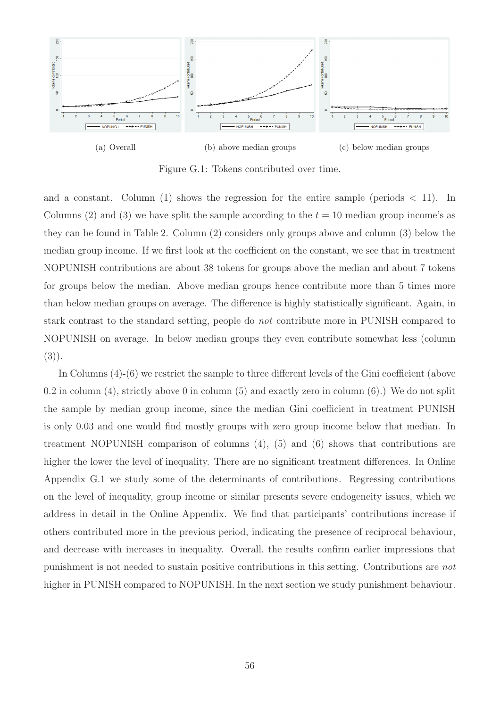

Figure G.1: Tokens contributed over time.

and a constant. Column (1) shows the regression for the entire sample (periods  $\lt$  11). In Columns (2) and (3) we have split the sample according to the  $t = 10$  median group income's as they can be found in Table 2. Column (2) considers only groups above and column (3) below the median group income. If we first look at the coefficient on the constant, we see that in treatment NOPUNISH contributions are about 38 tokens for groups above the median and about 7 tokens for groups below the median. Above median groups hence contribute more than 5 times more than below median groups on average. The difference is highly statistically significant. Again, in stark contrast to the standard setting, people do not contribute more in PUNISH compared to NOPUNISH on average. In below median groups they even contribute somewhat less (column  $(3)$ .

In Columns (4)-(6) we restrict the sample to three different levels of the Gini coefficient (above 0.2 in column (4), strictly above 0 in column (5) and exactly zero in column (6).) We do not split the sample by median group income, since the median Gini coefficient in treatment PUNISH is only 0.03 and one would find mostly groups with zero group income below that median. In treatment NOPUNISH comparison of columns (4), (5) and (6) shows that contributions are higher the lower the level of inequality. There are no significant treatment differences. In Online Appendix G.1 we study some of the determinants of contributions. Regressing contributions on the level of inequality, group income or similar presents severe endogeneity issues, which we address in detail in the Online Appendix. We find that participants' contributions increase if others contributed more in the previous period, indicating the presence of reciprocal behaviour, and decrease with increases in inequality. Overall, the results confirm earlier impressions that punishment is not needed to sustain positive contributions in this setting. Contributions are not higher in PUNISH compared to NOPUNISH. In the next section we study punishment behaviour.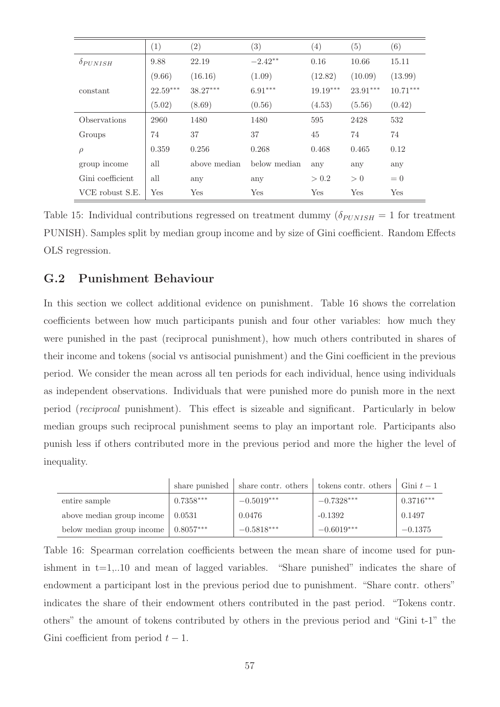|                   | (1)        | $\left( 2\right)$ | $\left( 3\right)$ | $\left( 4\right)$ | (5)        | (6)        |
|-------------------|------------|-------------------|-------------------|-------------------|------------|------------|
| $\delta_{PUNISH}$ | 9.88       | 22.19             | $-2.42**$         | 0.16              | 10.66      | 15.11      |
|                   | (9.66)     | (16.16)           | (1.09)            | (12.82)           | (10.09)    | (13.99)    |
| constant          | $22.59***$ | $38.27***$        | $6.91***$         | $19.19***$        | $23.91***$ | $10.71***$ |
|                   | (5.02)     | (8.69)            | (0.56)            | (4.53)            | (5.56)     | (0.42)     |
| Observations      | 2960       | 1480              | 1480              | 595               | 2428       | 532        |
| Groups            | 74         | 37                | 37                | 45                | 74         | 74         |
| $\rho$            | 0.359      | 0.256             | 0.268             | 0.468             | 0.465      | 0.12       |
| group income      | all        | above median      | below median      | any               | any        | any        |
| Gini coefficient  | all        | any               | any               | > 0.2             | > 0        | $= 0$      |
| VCE robust S.E.   | Yes        | Yes               | Yes               | Yes               | Yes        | Yes        |

Table 15: Individual contributions regressed on treatment dummy  $(\delta_{PUNISH} = 1$  for treatment PUNISH). Samples split by median group income and by size of Gini coefficient. Random Effects OLS regression.

### G.2 Punishment Behaviour

In this section we collect additional evidence on punishment. Table 16 shows the correlation coefficients between how much participants punish and four other variables: how much they were punished in the past (reciprocal punishment), how much others contributed in shares of their income and tokens (social vs antisocial punishment) and the Gini coefficient in the previous period. We consider the mean across all ten periods for each individual, hence using individuals as independent observations. Individuals that were punished more do punish more in the next period (reciprocal punishment). This effect is sizeable and significant. Particularly in below median groups such reciprocal punishment seems to play an important role. Participants also punish less if others contributed more in the previous period and more the higher the level of inequality.

|                           | share punished | share contr. others | tokens contr. others | Gini $t-1$  |
|---------------------------|----------------|---------------------|----------------------|-------------|
| entire sample             | $0.7358***$    | $-0.5019***$        | $-0.7328***$         | $0.3716***$ |
| above median group income | 0.0531         | 0.0476              | $-0.1392$            | 0.1497      |
| below median group income | $0.8057***$    | $-0.5818***$        | $-0.6019***$         | $-0.1375$   |

Table 16: Spearman correlation coefficients between the mean share of income used for punishment in  $t=1,..10$  and mean of lagged variables. "Share punished" indicates the share of endowment a participant lost in the previous period due to punishment. "Share contr. others" indicates the share of their endowment others contributed in the past period. "Tokens contr. others" the amount of tokens contributed by others in the previous period and "Gini t-1" the Gini coefficient from period  $t-1$ .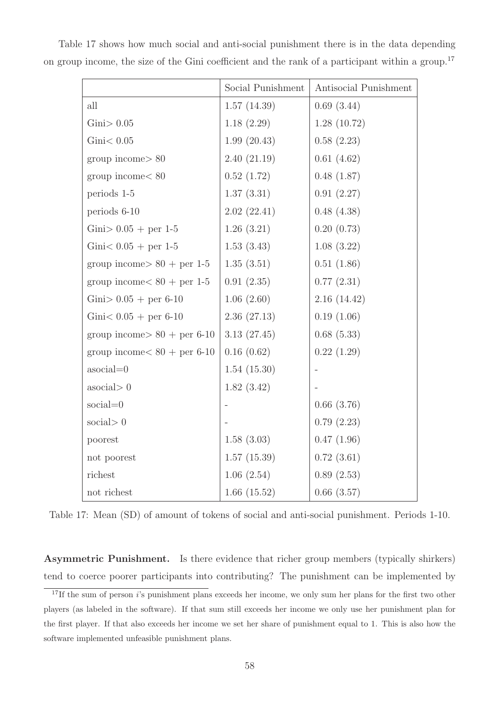|                                        | Social Punishment | Antisocial Punishment |
|----------------------------------------|-------------------|-----------------------|
| all                                    | 1.57(14.39)       | 0.69(3.44)            |
| $Gini$ > $0.05$                        | 1.18(2.29)        | 1.28(10.72)           |
| Gini < 0.05                            | 1.99(20.43)       | 0.58(2.23)            |
| group income > 80                      | 2.40(21.19)       | 0.61(4.62)            |
| group income < 80                      | 0.52(1.72)        | 0.48(1.87)            |
| periods 1-5                            | 1.37(3.31)        | 0.91(2.27)            |
| periods 6-10                           | 2.02(22.41)       | 0.48(4.38)            |
| Gini > $0.05 +$ per 1-5                | 1.26(3.21)        | 0.20(0.73)            |
| Gini $< 0.05 +$ per 1-5                | 1.53(3.43)        | 1.08(3.22)            |
| group income $> 80 +$ per 1-5          | 1.35(3.51)        | 0.51(1.86)            |
| group income $< 80 +$ per 1-5          | 0.91(2.35)        | 0.77(2.31)            |
| Gini > $0.05 +$ per 6-10               | 1.06(2.60)        | 2.16(14.42)           |
| Gini $< 0.05 +$ per 6-10               | 2.36(27.13)       | 0.19(1.06)            |
| group income $> 80 +$ per 6-10         | 3.13(27.45)       | 0.68(5.33)            |
| group income $< 80 + \text{per } 6-10$ | 0.16(0.62)        | 0.22(1.29)            |
| $\text{asocial}=0$                     | 1.54(15.30)       |                       |
| $\alpha$ social $> 0$                  | 1.82(3.42)        |                       |
| $social=0$                             |                   | 0.66(3.76)            |
| social $>0$                            |                   | 0.79(2.23)            |
| poorest                                | 1.58(3.03)        | 0.47(1.96)            |
| not poorest                            | 1.57(15.39)       | 0.72(3.61)            |
| richest                                | 1.06(2.54)        | 0.89(2.53)            |
| not richest                            | 1.66(15.52)       | 0.66(3.57)            |

Table 17 shows how much social and anti-social punishment there is in the data depending on group income, the size of the Gini coefficient and the rank of a participant within a group.<sup>17</sup>

Table 17: Mean (SD) of amount of tokens of social and anti-social punishment. Periods 1-10.

Asymmetric Punishment. Is there evidence that richer group members (typically shirkers) tend to coerce poorer participants into contributing? The punishment can be implemented by

<sup>&</sup>lt;sup>17</sup>If the sum of person *i*'s punishment plans exceeds her income, we only sum her plans for the first two other players (as labeled in the software). If that sum still exceeds her income we only use her punishment plan for the first player. If that also exceeds her income we set her share of punishment equal to 1. This is also how the software implemented unfeasible punishment plans.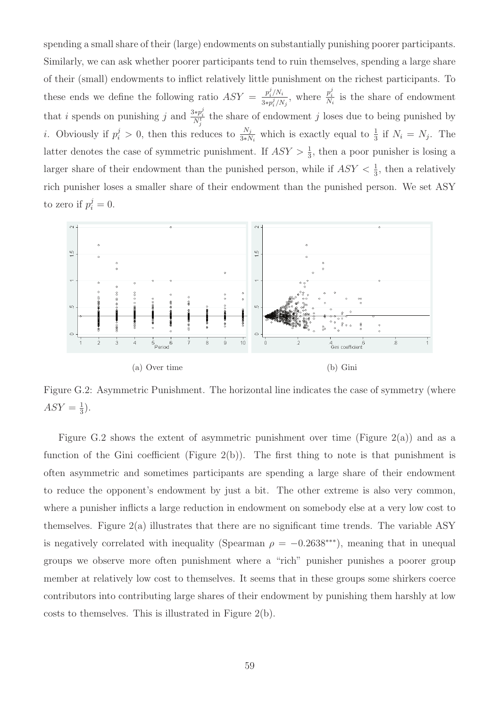spending a small share of their (large) endowments on substantially punishing poorer participants. Similarly, we can ask whether poorer participants tend to ruin themselves, spending a large share of their (small) endowments to inflict relatively little punishment on the richest participants. To these ends we define the following ratio  $ASY = \frac{p_i^j/N_i}{2\pi r^j/N_i}$  $\frac{p_i^j/N_i}{3*p_i^j/N_j}$ , where  $\frac{p_i^j}{N_i}$  is the share of endowment that *i* spends on punishing j and  $\frac{3*p_i^j}{N_j^t}$  the share of endowment j loses due to being punished by *i*. Obviously if  $p_i^j > 0$ , then this reduces to  $\frac{N_j}{3*N_i}$  which is exactly equal to  $\frac{1}{3}$  if  $N_i = N_j$ . The latter denotes the case of symmetric punishment. If  $ASY > \frac{1}{3}$ , then a poor punisher is losing a larger share of their endowment than the punished person, while if  $ASY < \frac{1}{3}$ , then a relatively rich punisher loses a smaller share of their endowment than the punished person. We set ASY to zero if  $p_i^j = 0$ .



Figure G.2: Asymmetric Punishment. The horizontal line indicates the case of symmetry (where  $ASY = \frac{1}{3}$  $\frac{1}{3}$ .

Figure G.2 shows the extent of asymmetric punishment over time (Figure  $2(a)$ ) and as a function of the Gini coefficient (Figure  $2(b)$ ). The first thing to note is that punishment is often asymmetric and sometimes participants are spending a large share of their endowment to reduce the opponent's endowment by just a bit. The other extreme is also very common, where a punisher inflicts a large reduction in endowment on somebody else at a very low cost to themselves. Figure  $2(a)$  illustrates that there are no significant time trends. The variable ASY is negatively correlated with inequality (Spearman  $\rho = -0.2638***$ ), meaning that in unequal groups we observe more often punishment where a "rich" punisher punishes a poorer group member at relatively low cost to themselves. It seems that in these groups some shirkers coerce contributors into contributing large shares of their endowment by punishing them harshly at low costs to themselves. This is illustrated in Figure 2(b).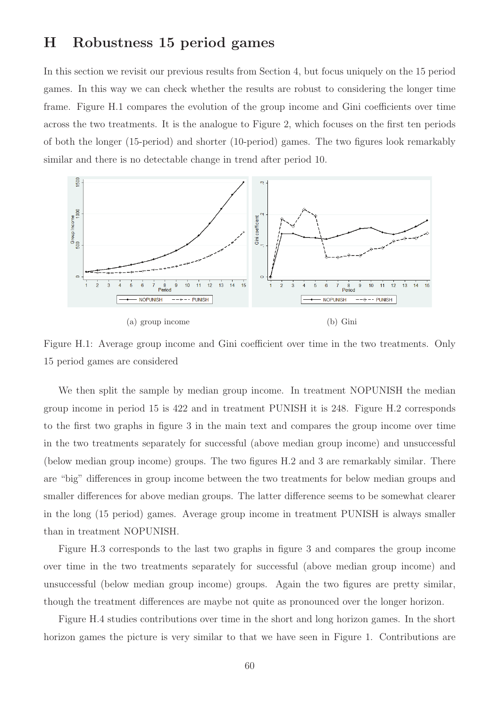### H Robustness 15 period games

In this section we revisit our previous results from Section 4, but focus uniquely on the 15 period games. In this way we can check whether the results are robust to considering the longer time frame. Figure H.1 compares the evolution of the group income and Gini coefficients over time across the two treatments. It is the analogue to Figure 2, which focuses on the first ten periods of both the longer (15-period) and shorter (10-period) games. The two figures look remarkably similar and there is no detectable change in trend after period 10.



Figure H.1: Average group income and Gini coefficient over time in the two treatments. Only 15 period games are considered

We then split the sample by median group income. In treatment NOPUNISH the median group income in period 15 is 422 and in treatment PUNISH it is 248. Figure H.2 corresponds to the first two graphs in figure 3 in the main text and compares the group income over time in the two treatments separately for successful (above median group income) and unsuccessful (below median group income) groups. The two figures H.2 and 3 are remarkably similar. There are "big" differences in group income between the two treatments for below median groups and smaller differences for above median groups. The latter difference seems to be somewhat clearer in the long (15 period) games. Average group income in treatment PUNISH is always smaller than in treatment NOPUNISH.

Figure H.3 corresponds to the last two graphs in figure 3 and compares the group income over time in the two treatments separately for successful (above median group income) and unsuccessful (below median group income) groups. Again the two figures are pretty similar, though the treatment differences are maybe not quite as pronounced over the longer horizon.

Figure H.4 studies contributions over time in the short and long horizon games. In the short horizon games the picture is very similar to that we have seen in Figure 1. Contributions are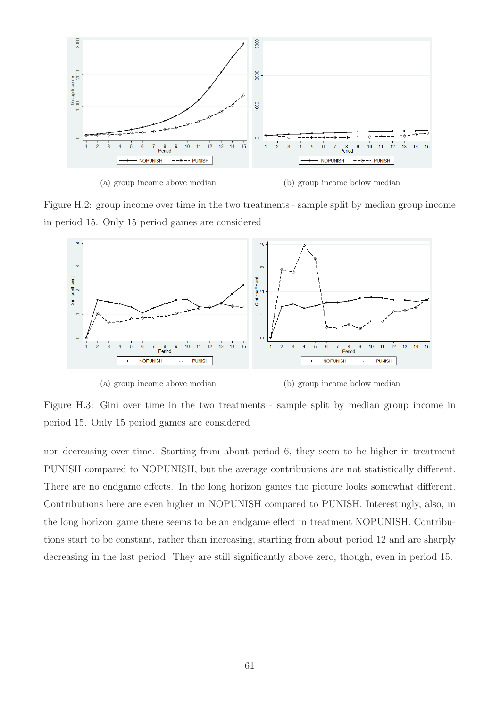

(a) group income above median (b) group income below median

Figure H.2: group income over time in the two treatments - sample split by median group income in period 15. Only 15 period games are considered



(a) group income above median (b) group income below median

Figure H.3: Gini over time in the two treatments - sample split by median group income in period 15. Only 15 period games are considered

non-decreasing over time. Starting from about period 6, they seem to be higher in treatment PUNISH compared to NOPUNISH, but the average contributions are not statistically different. There are no endgame effects. In the long horizon games the picture looks somewhat different. Contributions here are even higher in NOPUNISH compared to PUNISH. Interestingly, also, in the long horizon game there seems to be an endgame effect in treatment NOPUNISH. Contributions start to be constant, rather than increasing, starting from about period 12 and are sharply decreasing in the last period. They are still significantly above zero, though, even in period 15.